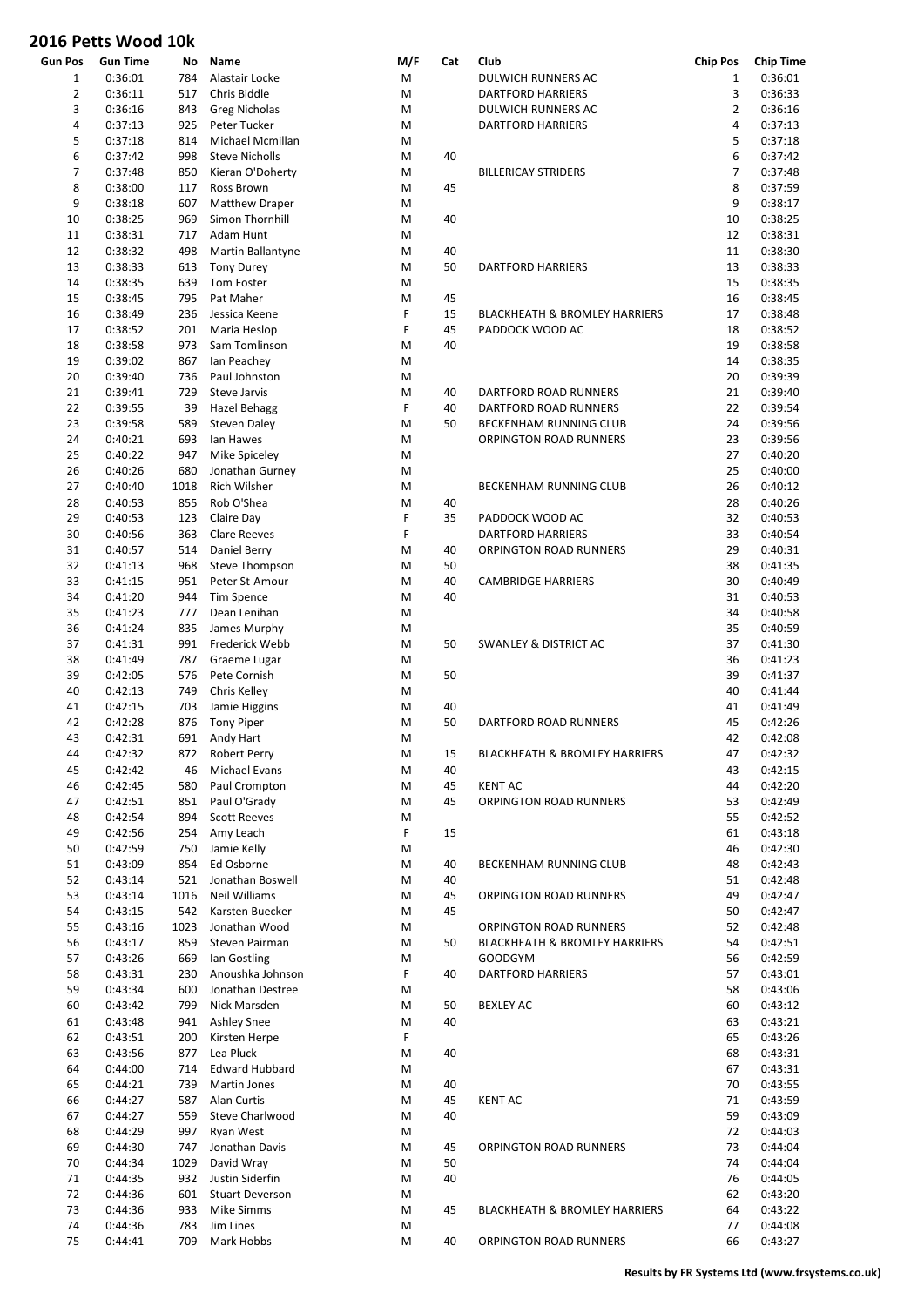| Gun Pos        | Gun Time | No   | Name                           | M/F | Cat | Club                                     | <b>Chip Pos</b> | <b>Chip Time</b> |
|----------------|----------|------|--------------------------------|-----|-----|------------------------------------------|-----------------|------------------|
| $\mathbf{1}$   | 0:36:01  | 784  | Alastair Locke                 | M   |     | DULWICH RUNNERS AC                       | 1               | 0:36:01          |
| $\overline{2}$ | 0:36:11  | 517  | Chris Biddle                   | M   |     | DARTFORD HARRIERS                        | 3               | 0:36:33          |
| 3              | 0:36:16  | 843  | <b>Greg Nicholas</b>           | M   |     | DULWICH RUNNERS AC                       | $\overline{2}$  | 0:36:16          |
| 4              | 0:37:13  | 925  | Peter Tucker                   | M   |     | <b>DARTFORD HARRIERS</b>                 | $\overline{4}$  | 0:37:13          |
| 5              | 0:37:18  | 814  | Michael Mcmillan               | M   |     |                                          | 5               | 0:37:18          |
| 6              | 0:37:42  | 998  | <b>Steve Nicholls</b>          | M   | 40  |                                          | 6               | 0:37:42          |
| 7              | 0:37:48  | 850  | Kieran O'Doherty               | M   |     | <b>BILLERICAY STRIDERS</b>               | $\overline{7}$  | 0:37:48          |
| 8              | 0:38:00  | 117  | Ross Brown                     | M   | 45  |                                          | 8               | 0:37:59          |
| 9              | 0:38:18  | 607  | <b>Matthew Draper</b>          | M   |     |                                          | 9               | 0:38:17          |
| 10             | 0:38:25  | 969  | Simon Thornhill                | M   | 40  |                                          | 10              | 0:38:25          |
| 11             | 0:38:31  | 717  | Adam Hunt                      | M   |     |                                          | 12              | 0:38:31          |
| 12             | 0:38:32  |      | Martin Ballantyne              | M   |     |                                          | 11              | 0:38:30          |
|                |          | 498  |                                |     | 40  |                                          |                 |                  |
| 13             | 0:38:33  | 613  | <b>Tony Durey</b>              | M   | 50  | DARTFORD HARRIERS                        | 13              | 0:38:33          |
| 14             | 0:38:35  | 639  | Tom Foster                     | M   |     |                                          | 15              | 0:38:35          |
| 15             | 0:38:45  | 795  | Pat Maher                      | M   | 45  |                                          | 16              | 0:38:45          |
| 16             | 0:38:49  | 236  | Jessica Keene                  | F   | 15  | <b>BLACKHEATH &amp; BROMLEY HARRIERS</b> | 17              | 0:38:48          |
| 17             | 0:38:52  | 201  | Maria Heslop                   | F   | 45  | PADDOCK WOOD AC                          | 18              | 0:38:52          |
| 18             | 0:38:58  | 973  | Sam Tomlinson                  | M   | 40  |                                          | 19              | 0:38:58          |
| 19             | 0:39:02  | 867  | lan Peachey                    | M   |     |                                          | 14              | 0:38:35          |
| 20             | 0:39:40  | 736  | Paul Johnston                  | M   |     |                                          | 20              | 0:39:39          |
| 21             | 0:39:41  | 729  | <b>Steve Jarvis</b>            | M   | 40  | DARTFORD ROAD RUNNERS                    | 21              | 0:39:40          |
| 22             | 0:39:55  | 39   | Hazel Behagg                   | F   | 40  | DARTFORD ROAD RUNNERS                    | 22              | 0:39:54          |
| 23             | 0:39:58  | 589  | <b>Steven Daley</b>            | M   | 50  | <b>BECKENHAM RUNNING CLUB</b>            | 24              | 0:39:56          |
| 24             | 0:40:21  | 693  | lan Hawes                      | M   |     | ORPINGTON ROAD RUNNERS                   | 23              | 0:39:56          |
| 25             | 0:40:22  | 947  | Mike Spiceley                  | M   |     |                                          | 27              | 0:40:20          |
| 26             | 0:40:26  | 680  | Jonathan Gurney                | M   |     |                                          | 25              | 0:40:00          |
| 27             | 0:40:40  | 1018 | Rich Wilsher                   | M   |     | BECKENHAM RUNNING CLUB                   | 26              | 0:40:12          |
| 28             | 0:40:53  | 855  | Rob O'Shea                     | M   |     |                                          | 28              | 0:40:26          |
|                |          |      |                                |     | 40  |                                          |                 |                  |
| 29             | 0:40:53  | 123  | Claire Day                     | F   | 35  | PADDOCK WOOD AC                          | 32              | 0:40:53          |
| 30             | 0:40:56  | 363  | <b>Clare Reeves</b>            | F   |     | <b>DARTFORD HARRIERS</b>                 | 33              | 0:40:54          |
| 31             | 0:40:57  | 514  | Daniel Berry                   | M   | 40  | ORPINGTON ROAD RUNNERS                   | 29              | 0:40:31          |
| 32             | 0:41:13  | 968  | Steve Thompson                 | M   | 50  |                                          | 38              | 0:41:35          |
| 33             | 0:41:15  | 951  | Peter St-Amour                 | M   | 40  | <b>CAMBRIDGE HARRIERS</b>                | 30              | 0:40:49          |
| 34             | 0:41:20  | 944  | Tim Spence                     | M   | 40  |                                          | 31              | 0:40:53          |
| 35             | 0:41:23  | 777  | Dean Lenihan                   | M   |     |                                          | 34              | 0:40:58          |
| 36             | 0:41:24  | 835  | James Murphy                   | M   |     |                                          | 35              | 0:40:59          |
| 37             | 0:41:31  | 991  | Frederick Webb                 | M   | 50  | <b>SWANLEY &amp; DISTRICT AC</b>         | 37              | 0:41:30          |
| 38             | 0:41:49  | 787  | Graeme Lugar                   | M   |     |                                          | 36              | 0:41:23          |
| 39             | 0:42:05  | 576  | Pete Cornish                   | M   | 50  |                                          | 39              | 0:41:37          |
| 40             | 0:42:13  | 749  | Chris Kelley                   | M   |     |                                          | 40              | 0:41:44          |
| 41             | 0:42:15  | 703  | Jamie Higgins                  | M   | 40  |                                          | 41              | 0:41:49          |
| 42             | 0:42:28  | 876  | <b>Tony Piper</b>              | M   | 50  | DARTFORD ROAD RUNNERS                    | 45              | 0:42:26          |
| 43             | 0:42:31  |      | 691 Andy Hart                  | М   |     |                                          | 42              | 0:42:08          |
| 44             | 0:42:32  |      | 872 Robert Perry               | M   | 15  |                                          | 47              | 0:42:32          |
|                | 0:42:42  | 46   |                                |     |     | BLACKHEATH & BROMLEY HARRIERS            | 43              | 0:42:15          |
| 45             |          |      | Michael Evans<br>Paul Crompton | Μ   | 40  |                                          |                 |                  |
| 46             | 0:42:45  | 580  |                                | M   | 45  | <b>KENT AC</b>                           | 44              | 0:42:20          |
| 47             | 0:42:51  | 851  | Paul O'Grady                   | M   | 45  | ORPINGTON ROAD RUNNERS                   | 53              | 0:42:49          |
| 48             | 0:42:54  | 894  | <b>Scott Reeves</b>            | M   |     |                                          | 55              | 0:42:52          |
| 49             | 0:42:56  | 254  | Amy Leach                      | F   | 15  |                                          | 61              | 0:43:18          |
| 50             | 0:42:59  | 750  | Jamie Kelly                    | Μ   |     |                                          | 46              | 0:42:30          |
| 51             | 0:43:09  | 854  | Ed Osborne                     | M   | 40  | BECKENHAM RUNNING CLUB                   | 48              | 0:42:43          |
| 52             | 0:43:14  | 521  | Jonathan Boswell               | M   | 40  |                                          | 51              | 0:42:48          |
| 53             | 0:43:14  | 1016 | Neil Williams                  | M   | 45  | ORPINGTON ROAD RUNNERS                   | 49              | 0:42:47          |
| 54             | 0:43:15  | 542  | Karsten Buecker                | M   | 45  |                                          | 50              | 0:42:47          |
| 55             | 0:43:16  | 1023 | Jonathan Wood                  | M   |     | ORPINGTON ROAD RUNNERS                   | 52              | 0:42:48          |
| 56             | 0:43:17  | 859  | Steven Pairman                 | M   | 50  | <b>BLACKHEATH &amp; BROMLEY HARRIERS</b> | 54              | 0:42:51          |
| 57             | 0:43:26  | 669  | lan Gostling                   | Μ   |     | <b>GOODGYM</b>                           | 56              | 0:42:59          |
| 58             | 0:43:31  | 230  | Anoushka Johnson               | F   | 40  | <b>DARTFORD HARRIERS</b>                 | 57              | 0:43:01          |
| 59             | 0:43:34  | 600  | Jonathan Destree               | Μ   |     |                                          | 58              | 0:43:06          |
| 60             | 0:43:42  | 799  | Nick Marsden                   | M   | 50  | <b>BEXLEY AC</b>                         | 60              | 0:43:12          |
| 61             | 0:43:48  | 941  | <b>Ashley Snee</b>             | M   | 40  |                                          | 63              | 0:43:21          |
| 62             | 0:43:51  |      | Kirsten Herpe                  | F   |     |                                          | 65              | 0:43:26          |
|                |          | 200  |                                |     |     |                                          |                 |                  |
| 63             | 0:43:56  | 877  | Lea Pluck                      | Μ   | 40  |                                          | 68              | 0:43:31          |
| 64             | 0:44:00  | 714  | <b>Edward Hubbard</b>          | M   |     |                                          | 67              | 0:43:31          |
| 65             | 0:44:21  | 739  | Martin Jones                   | M   | 40  |                                          | 70              | 0:43:55          |
| 66             | 0:44:27  | 587  | Alan Curtis                    | M   | 45  | <b>KENT AC</b>                           | 71              | 0:43:59          |
| 67             | 0:44:27  | 559  | Steve Charlwood                | M   | 40  |                                          | 59              | 0:43:09          |
| 68             | 0:44:29  | 997  | Ryan West                      | M   |     |                                          | 72              | 0:44:03          |
| 69             | 0:44:30  | 747  | Jonathan Davis                 | M   | 45  | ORPINGTON ROAD RUNNERS                   | 73              | 0:44:04          |
| 70             | 0:44:34  | 1029 | David Wray                     | M   | 50  |                                          | 74              | 0:44:04          |
| 71             | 0:44:35  | 932  | Justin Siderfin                | M   | 40  |                                          | 76              | 0:44:05          |
| 72             | 0:44:36  | 601  | <b>Stuart Deverson</b>         | Μ   |     |                                          | 62              | 0:43:20          |
| 73             | 0:44:36  | 933  | Mike Simms                     | M   | 45  | <b>BLACKHEATH &amp; BROMLEY HARRIERS</b> | 64              | 0:43:22          |
| 74             | 0:44:36  | 783  | Jim Lines                      | M   |     |                                          | 77              | 0:44:08          |
| 75             | 0:44:41  | 709  | Mark Hobbs                     | M   | 40  | ORPINGTON ROAD RUNNERS                   | 66              | 0:43:27          |
|                |          |      |                                |     |     |                                          |                 |                  |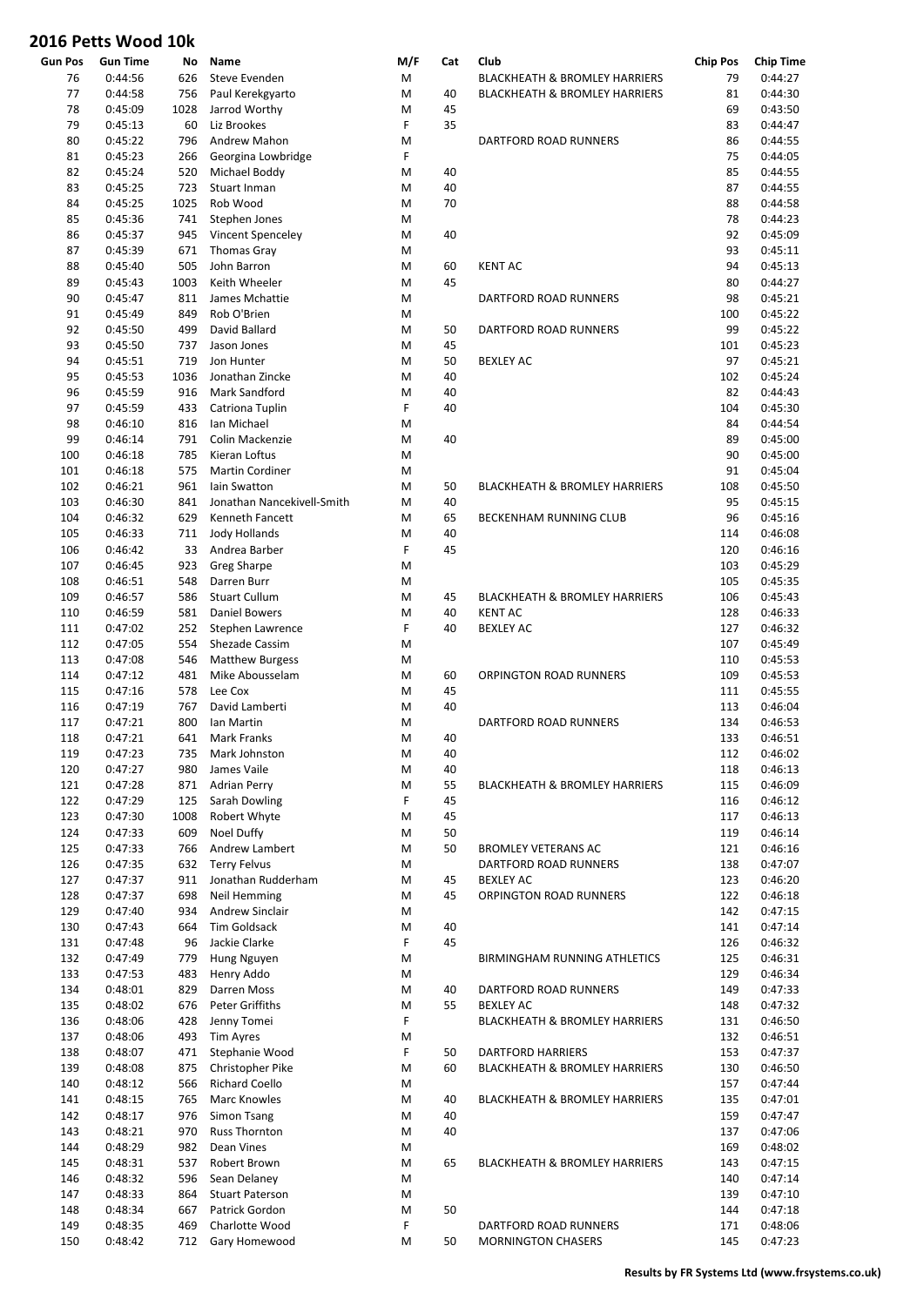| Gun Pos    | Gun Time           | No          | Name                          | M/F    | Cat      | Club                                     | <b>Chip Pos</b> | <b>Chip Time</b>   |
|------------|--------------------|-------------|-------------------------------|--------|----------|------------------------------------------|-----------------|--------------------|
| 76         | 0:44:56            | 626         | Steve Evenden                 | M      |          | <b>BLACKHEATH &amp; BROMLEY HARRIERS</b> | 79              | 0:44:27            |
| 77         | 0:44:58            | 756         | Paul Kerekgyarto              | M      | 40       | <b>BLACKHEATH &amp; BROMLEY HARRIERS</b> | 81              | 0:44:30            |
| 78         | 0:45:09            | 1028        | Jarrod Worthy                 | M      | 45       |                                          | 69              | 0:43:50            |
| 79         | 0:45:13            | 60          | Liz Brookes                   | F      | 35       |                                          | 83              | 0:44:47            |
| 80         | 0:45:22            | 796         | Andrew Mahon                  | M      |          | DARTFORD ROAD RUNNERS                    | 86              | 0:44:55            |
| 81         | 0:45:23            | 266         | Georgina Lowbridge            | F      |          |                                          | 75              | 0:44:05            |
| 82         | 0:45:24            | 520         | Michael Boddy                 | M      | 40       |                                          | 85              | 0:44:55            |
| 83         | 0:45:25            | 723         | Stuart Inman                  | M      | 40       |                                          | 87              | 0:44:55            |
| 84         | 0:45:25            | 1025        | Rob Wood                      | M      | 70       |                                          | 88              | 0:44:58            |
| 85         | 0:45:36            | 741         | Stephen Jones                 | M      |          |                                          | 78              | 0:44:23            |
| 86         | 0:45:37            | 945         | Vincent Spenceley             | M      | 40       |                                          | 92              | 0:45:09            |
| 87         | 0:45:39            | 671         | <b>Thomas Gray</b>            | M      |          |                                          | 93              | 0:45:11            |
| 88         | 0:45:40            | 505         | John Barron                   | M      | 60       | <b>KENT AC</b>                           | 94              | 0:45:13            |
| 89         | 0:45:43            | 1003        | Keith Wheeler                 | M      | 45       |                                          | 80              | 0:44:27            |
| 90         | 0:45:47            | 811         | James Mchattie                | M      |          | DARTFORD ROAD RUNNERS                    | 98              | 0:45:21            |
| 91         | 0:45:49            | 849         | Rob O'Brien                   | M      |          |                                          | 100             | 0:45:22            |
| 92         | 0:45:50            | 499         | David Ballard                 | M      | 50       | DARTFORD ROAD RUNNERS                    | 99              | 0:45:22            |
| 93         | 0:45:50            | 737         | Jason Jones                   | M      | 45       |                                          | 101             | 0:45:23            |
| 94         | 0:45:51            | 719         | Jon Hunter<br>Jonathan Zincke | M      | 50       | <b>BEXLEY AC</b>                         | 97              | 0:45:21            |
| 95         | 0:45:53            | 1036<br>916 | <b>Mark Sandford</b>          | M<br>M | 40       |                                          | 102<br>82       | 0:45:24            |
| 96<br>97   | 0:45:59            | 433         | Catriona Tuplin               | F      | 40<br>40 |                                          | 104             | 0:44:43            |
| 98         | 0:45:59<br>0:46:10 | 816         | Ian Michael                   | M      |          |                                          | 84              | 0:45:30<br>0:44:54 |
|            |                    | 791         | Colin Mackenzie               | M      | 40       |                                          | 89              |                    |
| 99         | 0:46:14<br>0:46:18 | 785         | Kieran Loftus                 | M      |          |                                          | 90              | 0:45:00<br>0:45:00 |
| 100<br>101 | 0:46:18            | 575         | <b>Martin Cordiner</b>        | M      |          |                                          | 91              | 0:45:04            |
| 102        | 0:46:21            | 961         | lain Swatton                  | M      | 50       | <b>BLACKHEATH &amp; BROMLEY HARRIERS</b> | 108             | 0:45:50            |
| 103        | 0:46:30            | 841         | Jonathan Nancekivell-Smith    | M      | 40       |                                          | 95              | 0:45:15            |
| 104        | 0:46:32            | 629         | Kenneth Fancett               | M      | 65       | BECKENHAM RUNNING CLUB                   | 96              | 0:45:16            |
| 105        | 0:46:33            | 711         | Jody Hollands                 | M      | 40       |                                          | 114             | 0:46:08            |
| 106        | 0:46:42            | 33          | Andrea Barber                 | F      | 45       |                                          | 120             | 0:46:16            |
| 107        | 0:46:45            | 923         | Greg Sharpe                   | M      |          |                                          | 103             | 0:45:29            |
| 108        | 0:46:51            | 548         | Darren Burr                   | M      |          |                                          | 105             | 0:45:35            |
| 109        | 0:46:57            | 586         | <b>Stuart Cullum</b>          | M      | 45       | <b>BLACKHEATH &amp; BROMLEY HARRIERS</b> | 106             | 0:45:43            |
| 110        | 0:46:59            | 581         | <b>Daniel Bowers</b>          | M      | 40       | <b>KENT AC</b>                           | 128             | 0:46:33            |
| 111        | 0:47:02            | 252         | Stephen Lawrence              | F      | 40       | <b>BEXLEY AC</b>                         | 127             | 0:46:32            |
| 112        | 0:47:05            | 554         | Shezade Cassim                | M      |          |                                          | 107             | 0:45:49            |
| 113        | 0:47:08            | 546         | <b>Matthew Burgess</b>        | M      |          |                                          | 110             | 0:45:53            |
| 114        | 0:47:12            | 481         | Mike Abousselam               | M      | 60       | ORPINGTON ROAD RUNNERS                   | 109             | 0:45:53            |
| 115        | 0:47:16            | 578         | Lee Cox                       | M      | 45       |                                          | 111             | 0:45:55            |
| 116        | 0:47:19            | 767         | David Lamberti                | M      | 40       |                                          | 113             | 0:46:04            |
| 117        | 0:47:21            | 800         | Ian Martin                    | M      |          | DARTFORD ROAD RUNNERS                    | 134             | 0:46:53            |
| 118        | 0:47:21            | 641         | Mark Franks                   | М      | 40       |                                          | 133             | 0:46:51            |
| 119        | 0:47:23            |             | 735 Mark Johnston             | M      | 40       |                                          | 112             | 0:46:02            |
| 120        | 0:47:27            | 980         | James Vaile                   | M      | 40       |                                          | 118             | 0:46:13            |
| 121        | 0:47:28            | 871         | Adrian Perry                  | М      | 55       | <b>BLACKHEATH &amp; BROMLEY HARRIERS</b> | 115             | 0:46:09            |
| 122        | 0:47:29            | 125         | Sarah Dowling                 | F      | 45       |                                          | 116             | 0:46:12            |
| 123        | 0:47:30            | 1008        | Robert Whyte                  | M      | 45       |                                          | 117             | 0:46:13            |
| 124        | 0:47:33            | 609         | Noel Duffy                    | M      | 50       |                                          | 119             | 0:46:14            |
| 125        | 0:47:33            | 766         | Andrew Lambert                | М      | 50       | <b>BROMLEY VETERANS AC</b>               | 121             | 0:46:16            |
| 126        | 0:47:35            | 632         | <b>Terry Felvus</b>           | M      |          | DARTFORD ROAD RUNNERS                    | 138             | 0:47:07            |
| 127        | 0:47:37            | 911         | Jonathan Rudderham            | М      | 45       | <b>BEXLEY AC</b>                         | 123             | 0:46:20            |
| 128        | 0:47:37            | 698         | Neil Hemming                  | M      | 45       | ORPINGTON ROAD RUNNERS                   | 122             | 0:46:18            |
| 129        | 0:47:40            | 934         | Andrew Sinclair               | M      |          |                                          | 142             | 0:47:15            |
| 130        | 0:47:43            | 664         | <b>Tim Goldsack</b>           | M      | 40       |                                          | 141             | 0:47:14            |
| 131        | 0:47:48            | 96          | Jackie Clarke                 | F      | 45       |                                          | 126             | 0:46:32            |
| 132        | 0:47:49            | 779         | Hung Nguyen                   | М      |          | BIRMINGHAM RUNNING ATHLETICS             | 125             | 0:46:31            |
| 133        | 0:47:53            | 483         | Henry Addo                    | Μ      |          |                                          | 129             | 0:46:34            |
| 134        | 0:48:01            | 829         | Darren Moss                   | Μ      | 40       | DARTFORD ROAD RUNNERS                    | 149             | 0:47:33            |
| 135        | 0:48:02            | 676         | Peter Griffiths               | M      | 55       | <b>BEXLEY AC</b>                         | 148             | 0:47:32            |
| 136        | 0:48:06            | 428         | Jenny Tomei                   | F      |          | <b>BLACKHEATH &amp; BROMLEY HARRIERS</b> | 131             | 0:46:50            |
| 137        | 0:48:06            | 493         | <b>Tim Ayres</b>              | M      |          |                                          | 132             | 0:46:51            |
| 138        | 0:48:07            | 471         | Stephanie Wood                | F      | 50       | DARTFORD HARRIERS                        | 153             | 0:47:37            |
| 139        | 0:48:08            | 875         | Christopher Pike              | M      | 60       | <b>BLACKHEATH &amp; BROMLEY HARRIERS</b> | 130             | 0:46:50            |
| 140        | 0:48:12            | 566         | <b>Richard Coello</b>         | Μ      |          |                                          | 157             | 0:47:44            |
| 141        | 0:48:15            | 765         | Marc Knowles                  | Μ      | 40       | <b>BLACKHEATH &amp; BROMLEY HARRIERS</b> | 135             | 0:47:01            |
| 142        | 0:48:17            | 976         | Simon Tsang                   | M      | 40       |                                          | 159             | 0:47:47            |
| 143        | 0:48:21            | 970         | <b>Russ Thornton</b>          | M      | 40       |                                          | 137             | 0:47:06            |
| 144        | 0:48:29            | 982         | Dean Vines                    | M      |          |                                          | 169             | 0:48:02            |
| 145        | 0:48:31            | 537         | Robert Brown                  | Μ      | 65       | <b>BLACKHEATH &amp; BROMLEY HARRIERS</b> | 143             | 0:47:15            |
| 146        | 0:48:32            | 596         | Sean Delaney                  | M      |          |                                          | 140             | 0:47:14            |
| 147        | 0:48:33            | 864         | <b>Stuart Paterson</b>        | Μ      |          |                                          | 139             | 0:47:10            |
| 148        | 0:48:34            | 667         | Patrick Gordon                | Μ      | 50       |                                          | 144             | 0:47:18            |
| 149        | 0:48:35            | 469         | Charlotte Wood                | F      |          | DARTFORD ROAD RUNNERS                    | 171             | 0:48:06            |
| 150        | 0:48:42            | 712         | Gary Homewood                 | М      | 50       | <b>MORNINGTON CHASERS</b>                | 145             | 0:47:23            |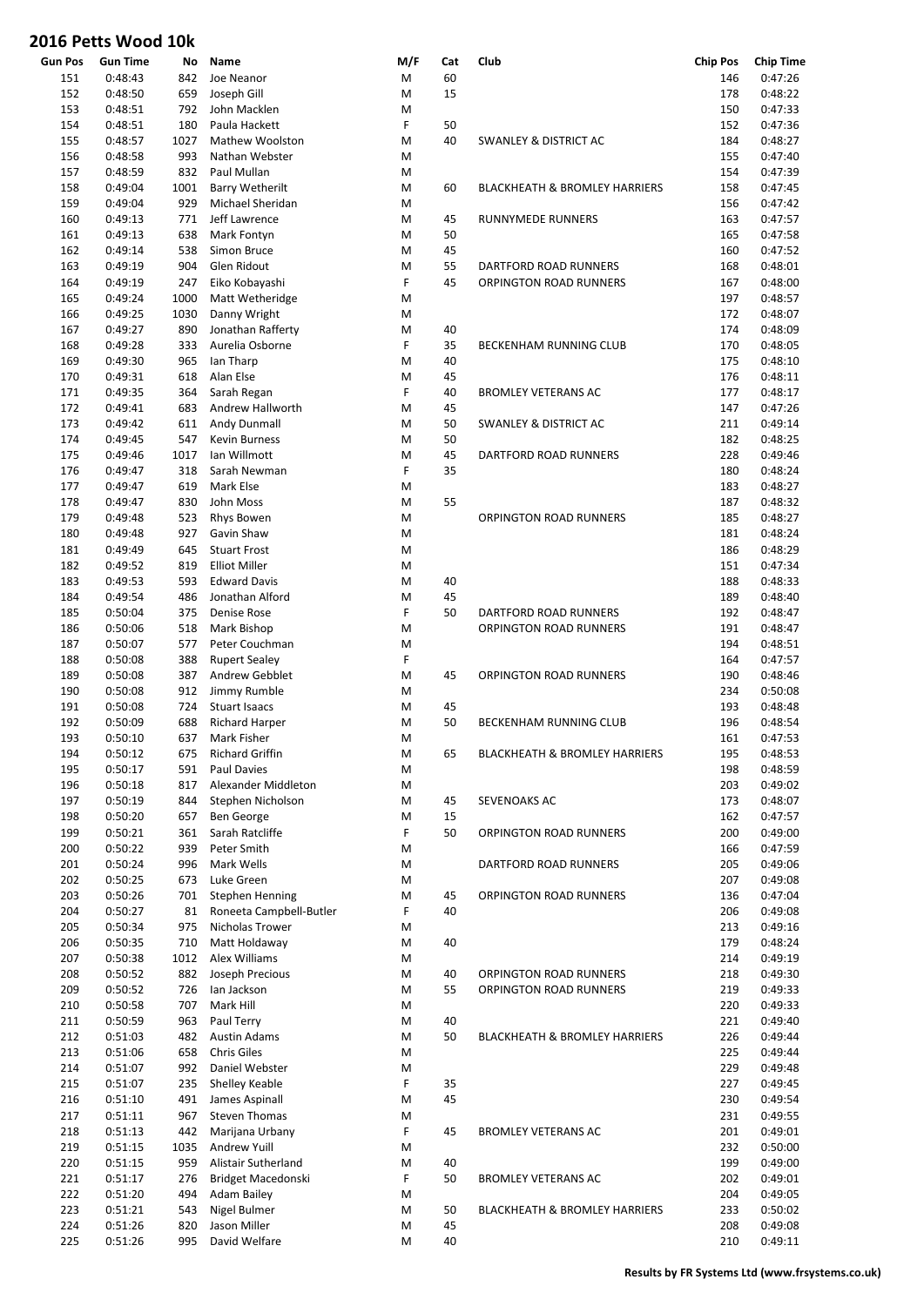|                | טעע <b>נינט איטעט ב</b> טא |      |                         |        |     |                                          |                 |                  |
|----------------|----------------------------|------|-------------------------|--------|-----|------------------------------------------|-----------------|------------------|
| <b>Gun Pos</b> | <b>Gun Time</b>            | No   | Name                    | M/F    | Cat | Club                                     | <b>Chip Pos</b> | <b>Chip Time</b> |
| 151            | 0:48:43                    | 842  | Joe Neanor              | M      | 60  |                                          | 146             | 0:47:26          |
| 152            | 0:48:50                    | 659  | Joseph Gill             | M      | 15  |                                          | 178             | 0:48:22          |
| 153            | 0:48:51                    | 792  | John Macklen            | M      |     |                                          | 150             | 0:47:33          |
| 154            | 0:48:51                    | 180  | Paula Hackett           | F      | 50  |                                          | 152             | 0:47:36          |
| 155            | 0:48:57                    | 1027 | Mathew Woolston         | M      | 40  | <b>SWANLEY &amp; DISTRICT AC</b>         | 184             | 0:48:27          |
| 156            | 0:48:58                    | 993  | Nathan Webster          | M      |     |                                          | 155             | 0:47:40          |
| 157            | 0:48:59                    | 832  | Paul Mullan             | M      |     |                                          | 154             | 0:47:39          |
| 158            | 0:49:04                    | 1001 | <b>Barry Wetherilt</b>  | M      | 60  | <b>BLACKHEATH &amp; BROMLEY HARRIERS</b> | 158             | 0:47:45          |
| 159            | 0:49:04                    | 929  | Michael Sheridan        | M      |     |                                          | 156             | 0:47:42          |
|                |                            | 771  | Jeff Lawrence           |        |     |                                          |                 |                  |
| 160            | 0:49:13                    |      |                         | M      | 45  | <b>RUNNYMEDE RUNNERS</b>                 | 163             | 0:47:57          |
| 161            | 0:49:13                    | 638  | Mark Fontyn             | M      | 50  |                                          | 165             | 0:47:58          |
| 162            | 0:49:14                    | 538  | Simon Bruce             | M      | 45  |                                          | 160             | 0:47:52          |
| 163            | 0:49:19                    | 904  | Glen Ridout             | M      | 55  | DARTFORD ROAD RUNNERS                    | 168             | 0:48:01          |
| 164            | 0:49:19                    | 247  | Eiko Kobayashi          | F      | 45  | <b>ORPINGTON ROAD RUNNERS</b>            | 167             | 0:48:00          |
| 165            | 0:49:24                    | 1000 | Matt Wetheridge         | M      |     |                                          | 197             | 0:48:57          |
| 166            | 0:49:25                    | 1030 | Danny Wright            | M      |     |                                          | 172             | 0:48:07          |
| 167            | 0:49:27                    | 890  | Jonathan Rafferty       | M      | 40  |                                          | 174             | 0:48:09          |
| 168            | 0:49:28                    | 333  | Aurelia Osborne         | F      | 35  | BECKENHAM RUNNING CLUB                   | 170             | 0:48:05          |
| 169            | 0:49:30                    | 965  | lan Tharp               | M      | 40  |                                          | 175             | 0:48:10          |
| 170            | 0:49:31                    | 618  | Alan Else               | M      | 45  |                                          | 176             | 0:48:11          |
| 171            | 0:49:35                    | 364  | Sarah Regan             | F      | 40  | <b>BROMLEY VETERANS AC</b>               | 177             | 0:48:17          |
| 172            | 0:49:41                    | 683  | Andrew Hallworth        | M      | 45  |                                          | 147             | 0:47:26          |
| 173            | 0:49:42                    | 611  | Andy Dunmall            | M      | 50  | <b>SWANLEY &amp; DISTRICT AC</b>         | 211             | 0:49:14          |
|                |                            |      |                         |        |     |                                          |                 |                  |
| 174            | 0:49:45                    | 547  | Kevin Burness           | M      | 50  |                                          | 182             | 0:48:25          |
| 175            | 0:49:46                    | 1017 | lan Willmott            | M      | 45  | DARTFORD ROAD RUNNERS                    | 228             | 0:49:46          |
| 176            | 0:49:47                    | 318  | Sarah Newman            | F      | 35  |                                          | 180             | 0:48:24          |
| 177            | 0:49:47                    | 619  | Mark Else               | M      |     |                                          | 183             | 0:48:27          |
| 178            | 0:49:47                    | 830  | John Moss               | M      | 55  |                                          | 187             | 0:48:32          |
| 179            | 0:49:48                    | 523  | Rhys Bowen              | M      |     | ORPINGTON ROAD RUNNERS                   | 185             | 0:48:27          |
| 180            | 0:49:48                    | 927  | Gavin Shaw              | M      |     |                                          | 181             | 0:48:24          |
| 181            | 0:49:49                    | 645  | <b>Stuart Frost</b>     | M      |     |                                          | 186             | 0:48:29          |
| 182            | 0:49:52                    | 819  | <b>Elliot Miller</b>    | M      |     |                                          | 151             | 0:47:34          |
| 183            | 0:49:53                    | 593  | <b>Edward Davis</b>     | M      | 40  |                                          | 188             | 0:48:33          |
| 184            | 0:49:54                    | 486  | Jonathan Alford         | M      | 45  |                                          | 189             | 0:48:40          |
| 185            | 0:50:04                    | 375  | Denise Rose             | F      | 50  | DARTFORD ROAD RUNNERS                    | 192             | 0:48:47          |
| 186            | 0:50:06                    | 518  | Mark Bishop             | M      |     | <b>ORPINGTON ROAD RUNNERS</b>            | 191             | 0:48:47          |
|                |                            |      |                         |        |     |                                          |                 |                  |
| 187            | 0:50:07                    | 577  | Peter Couchman          | M      |     |                                          | 194             | 0:48:51          |
| 188            | 0:50:08                    | 388  | <b>Rupert Sealey</b>    | F      |     |                                          | 164             | 0:47:57          |
| 189            | 0:50:08                    | 387  | Andrew Gebblet          | M      | 45  | ORPINGTON ROAD RUNNERS                   | 190             | 0:48:46          |
| 190            | 0:50:08                    | 912  | Jimmy Rumble            | M      |     |                                          | 234             | 0:50:08          |
| 191            | 0:50:08                    | 724  | <b>Stuart Isaacs</b>    | M      | 45  |                                          | 193             | 0:48:48          |
| 192            | 0:50:09                    | 688  | <b>Richard Harper</b>   | M      | 50  | <b>BECKENHAM RUNNING CLUB</b>            | 196             | 0:48:54          |
| 193            | 0:50:10                    | 637  | Mark Fisher             | M      |     |                                          | 161             | 0:47:53          |
| 194            | 0:50:12                    | 675  | <b>Richard Griffin</b>  | M      | 65  | <b>BLACKHEATH &amp; BROMLEY HARRIERS</b> | 195             | 0:48:53          |
| 195            | 0:50:17                    | 591  | Paul Davies             | M      |     |                                          | 198             | 0:48:59          |
| 196            | 0:50:18                    | 817  | Alexander Middleton     | M      |     |                                          | 203             | 0:49:02          |
| 197            | 0:50:19                    | 844  | Stephen Nicholson       | M      | 45  | SEVENOAKS AC                             | 173             | 0:48:07          |
| 198            | 0:50:20                    | 657  | Ben George              | M      | 15  |                                          | 162             | 0:47:57          |
| 199            | 0:50:21                    | 361  | Sarah Ratcliffe         | F      | 50  | ORPINGTON ROAD RUNNERS                   | 200             | 0:49:00          |
| 200            | 0:50:22                    | 939  | Peter Smith             | M      |     |                                          | 166             | 0:47:59          |
| 201            | 0:50:24                    | 996  | Mark Wells              | M      |     | DARTFORD ROAD RUNNERS                    | 205             | 0:49:06          |
|                |                            |      |                         |        |     |                                          |                 |                  |
| 202            | 0:50:25                    | 673  | Luke Green              | M      |     |                                          | 207             | 0:49:08          |
| 203            | 0:50:26                    | 701  | Stephen Henning         | M      | 45  | ORPINGTON ROAD RUNNERS                   | 136             | 0:47:04          |
| 204            | 0:50:27                    | 81   | Roneeta Campbell-Butler | F      | 40  |                                          | 206             | 0:49:08          |
| 205            | 0:50:34                    | 975  | Nicholas Trower         | M      |     |                                          | 213             | 0:49:16          |
| 206            | 0:50:35                    | 710  | Matt Holdaway           | M      | 40  |                                          | 179             | 0:48:24          |
| 207            | 0:50:38                    | 1012 | Alex Williams           | M      |     |                                          | 214             | 0:49:19          |
| 208            | 0:50:52                    | 882  | Joseph Precious         | M      | 40  | ORPINGTON ROAD RUNNERS                   | 218             | 0:49:30          |
| 209            | 0:50:52                    | 726  | lan Jackson             | M      | 55  | ORPINGTON ROAD RUNNERS                   | 219             | 0:49:33          |
| 210            | 0:50:58                    | 707  | Mark Hill               | M      |     |                                          | 220             | 0:49:33          |
| 211            | 0:50:59                    | 963  | Paul Terry              | M      | 40  |                                          | 221             | 0:49:40          |
| 212            | 0:51:03                    | 482  | <b>Austin Adams</b>     | M      | 50  | <b>BLACKHEATH &amp; BROMLEY HARRIERS</b> | 226             | 0:49:44          |
| 213            | 0:51:06                    | 658  | <b>Chris Giles</b>      | M      |     |                                          | 225             | 0:49:44          |
|                |                            |      |                         |        |     |                                          |                 |                  |
| 214            | 0:51:07                    | 992  | Daniel Webster          | M<br>F | 35  |                                          | 229             | 0:49:48          |
| 215            | 0:51:07                    | 235  | Shelley Keable          |        |     |                                          | 227             | 0:49:45          |
| 216            | 0:51:10                    | 491  | James Aspinall          | M      | 45  |                                          | 230             | 0:49:54          |
| 217            | 0:51:11                    | 967  | <b>Steven Thomas</b>    | M      |     |                                          | 231             | 0:49:55          |
| 218            | 0:51:13                    | 442  | Marijana Urbany         | F      | 45  | <b>BROMLEY VETERANS AC</b>               | 201             | 0:49:01          |
| 219            | 0:51:15                    | 1035 | Andrew Yuill            | M      |     |                                          | 232             | 0:50:00          |
| 220            | 0:51:15                    | 959  | Alistair Sutherland     | M      | 40  |                                          | 199             | 0:49:00          |
| 221            | 0:51:17                    | 276  | Bridget Macedonski      | F      | 50  | <b>BROMLEY VETERANS AC</b>               | 202             | 0:49:01          |
| 222            | 0:51:20                    | 494  | Adam Bailey             | M      |     |                                          | 204             | 0:49:05          |
| 223            | 0:51:21                    | 543  | Nigel Bulmer            | M      | 50  | <b>BLACKHEATH &amp; BROMLEY HARRIERS</b> | 233             | 0:50:02          |
| 224            | 0:51:26                    | 820  | Jason Miller            | M      | 45  |                                          | 208             | 0:49:08          |
| 225            | 0:51:26                    | 995  | David Welfare           | M      | 40  |                                          | 210             | 0:49:11          |
|                |                            |      |                         |        |     |                                          |                 |                  |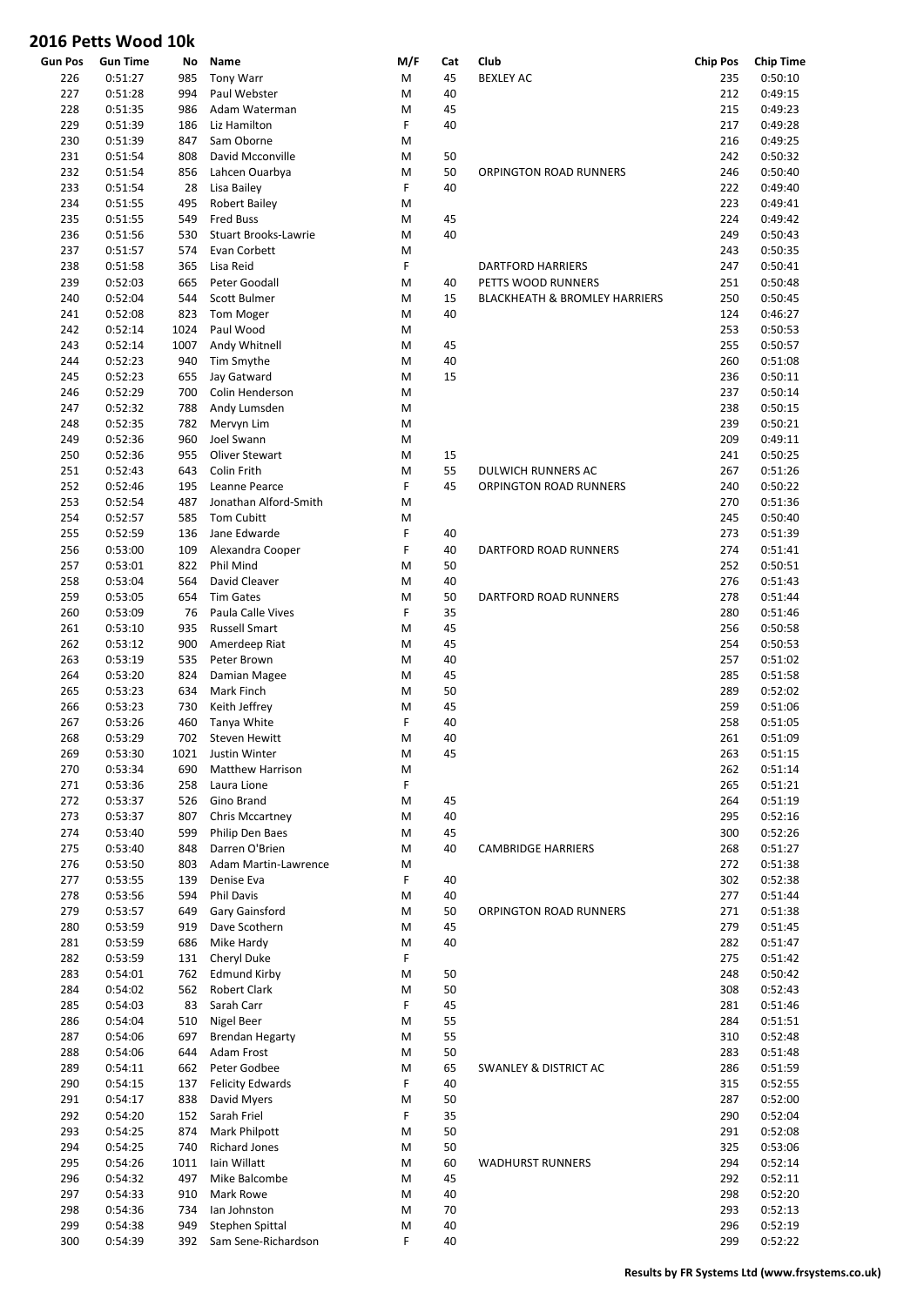|         | UIU I CLLJ VVUUU IUN |      |                         |     |     |                                          |                 |                  |
|---------|----------------------|------|-------------------------|-----|-----|------------------------------------------|-----------------|------------------|
| Gun Pos | <b>Gun Time</b>      | No   | Name                    | M/F | Cat | Club                                     | <b>Chip Pos</b> | <b>Chip Time</b> |
| 226     | 0:51:27              | 985  | <b>Tony Warr</b>        | M   | 45  | <b>BEXLEY AC</b>                         | 235             | 0:50:10          |
| 227     | 0:51:28              | 994  | Paul Webster            | M   | 40  |                                          | 212             | 0:49:15          |
| 228     | 0:51:35              | 986  | Adam Waterman           | M   | 45  |                                          | 215             | 0:49:23          |
| 229     | 0:51:39              | 186  | Liz Hamilton            | F   | 40  |                                          | 217             | 0:49:28          |
| 230     | 0:51:39              | 847  | Sam Oborne              | M   |     |                                          | 216             | 0:49:25          |
| 231     | 0:51:54              | 808  | David Mcconville        | M   | 50  |                                          | 242             | 0:50:32          |
| 232     | 0:51:54              | 856  | Lahcen Ouarbya          | M   | 50  | <b>ORPINGTON ROAD RUNNERS</b>            | 246             | 0:50:40          |
| 233     | 0:51:54              | 28   | Lisa Bailey             | F   | 40  |                                          | 222             | 0:49:40          |
| 234     | 0:51:55              | 495  | <b>Robert Bailey</b>    | M   |     |                                          | 223             | 0:49:41          |
| 235     | 0:51:55              | 549  | <b>Fred Buss</b>        | M   | 45  |                                          | 224             | 0:49:42          |
| 236     | 0:51:56              | 530  | Stuart Brooks-Lawrie    | M   | 40  |                                          | 249             | 0:50:43          |
| 237     | 0:51:57              | 574  | Evan Corbett            | M   |     |                                          | 243             | 0:50:35          |
| 238     | 0:51:58              | 365  | Lisa Reid               | F   |     | <b>DARTFORD HARRIERS</b>                 | 247             | 0:50:41          |
|         |                      |      |                         |     |     |                                          |                 |                  |
| 239     | 0:52:03              | 665  | Peter Goodall           | M   | 40  | PETTS WOOD RUNNERS                       | 251             | 0:50:48          |
| 240     | 0:52:04              | 544  | Scott Bulmer            | M   | 15  | <b>BLACKHEATH &amp; BROMLEY HARRIERS</b> | 250             | 0:50:45          |
| 241     | 0:52:08              | 823  | <b>Tom Moger</b>        | M   | 40  |                                          | 124             | 0:46:27          |
| 242     | 0:52:14              | 1024 | Paul Wood               | M   |     |                                          | 253             | 0:50:53          |
| 243     | 0:52:14              | 1007 | Andy Whitnell           | M   | 45  |                                          | 255             | 0:50:57          |
| 244     | 0:52:23              | 940  | Tim Smythe              | M   | 40  |                                          | 260             | 0:51:08          |
| 245     | 0:52:23              | 655  | Jay Gatward             | M   | 15  |                                          | 236             | 0:50:11          |
| 246     | 0:52:29              | 700  | Colin Henderson         | M   |     |                                          | 237             | 0:50:14          |
| 247     | 0:52:32              | 788  | Andy Lumsden            | M   |     |                                          | 238             | 0:50:15          |
| 248     | 0:52:35              | 782  | Mervyn Lim              | M   |     |                                          | 239             | 0:50:21          |
| 249     | 0:52:36              | 960  | Joel Swann              | M   |     |                                          | 209             | 0:49:11          |
| 250     | 0:52:36              | 955  | Oliver Stewart          | M   | 15  |                                          | 241             | 0:50:25          |
| 251     | 0:52:43              | 643  | Colin Frith             | M   | 55  | DULWICH RUNNERS AC                       | 267             | 0:51:26          |
| 252     | 0:52:46              | 195  | Leanne Pearce           | F   | 45  | <b>ORPINGTON ROAD RUNNERS</b>            | 240             | 0:50:22          |
| 253     | 0:52:54              | 487  | Jonathan Alford-Smith   | M   |     |                                          | 270             | 0:51:36          |
| 254     | 0:52:57              | 585  | <b>Tom Cubitt</b>       | M   |     |                                          | 245             | 0:50:40          |
| 255     | 0:52:59              | 136  | Jane Edwarde            | F   | 40  |                                          | 273             | 0:51:39          |
| 256     | 0:53:00              | 109  | Alexandra Cooper        | F   | 40  | DARTFORD ROAD RUNNERS                    | 274             | 0:51:41          |
|         |                      |      |                         |     |     |                                          |                 |                  |
| 257     | 0:53:01              | 822  | Phil Mind               | M   | 50  |                                          | 252             | 0:50:51          |
| 258     | 0:53:04              | 564  | David Cleaver           | M   | 40  |                                          | 276             | 0:51:43          |
| 259     | 0:53:05              | 654  | <b>Tim Gates</b>        | M   | 50  | DARTFORD ROAD RUNNERS                    | 278             | 0:51:44          |
| 260     | 0:53:09              | 76   | Paula Calle Vives       | F   | 35  |                                          | 280             | 0:51:46          |
| 261     | 0:53:10              | 935  | <b>Russell Smart</b>    | M   | 45  |                                          | 256             | 0:50:58          |
| 262     | 0:53:12              | 900  | Amerdeep Riat           | M   | 45  |                                          | 254             | 0:50:53          |
| 263     | 0:53:19              | 535  | Peter Brown             | M   | 40  |                                          | 257             | 0:51:02          |
| 264     | 0:53:20              | 824  | Damian Magee            | M   | 45  |                                          | 285             | 0:51:58          |
| 265     | 0:53:23              | 634  | Mark Finch              | M   | 50  |                                          | 289             | 0:52:02          |
| 266     | 0:53:23              | 730  | Keith Jeffrey           | M   | 45  |                                          | 259             | 0:51:06          |
| 267     | 0:53:26              | 460  | Tanya White             | F   | 40  |                                          | 258             | 0:51:05          |
| 268     | 0:53:29              | 702  | Steven Hewitt           | M   | 40  |                                          | 261             | 0:51:09          |
| 269     | 0:53:30              | 1021 | Justin Winter           | M   | 45  |                                          | 263             | 0:51:15          |
| 270     | 0:53:34              | 690  | Matthew Harrison        | M   |     |                                          | 262             | 0:51:14          |
| 271     | 0:53:36              | 258  | Laura Lione             | F   |     |                                          | 265             | 0:51:21          |
| 272     | 0:53:37              | 526  | Gino Brand              | M   | 45  |                                          | 264             | 0:51:19          |
| 273     | 0:53:37              | 807  | Chris Mccartney         | M   | 40  |                                          | 295             | 0:52:16          |
| 274     | 0:53:40              | 599  | Philip Den Baes         | M   | 45  |                                          | 300             | 0:52:26          |
| 275     | 0:53:40              | 848  | Darren O'Brien          | M   | 40  | <b>CAMBRIDGE HARRIERS</b>                | 268             | 0:51:27          |
| 276     | 0:53:50              | 803  | Adam Martin-Lawrence    | M   |     |                                          | 272             | 0:51:38          |
| 277     | 0:53:55              | 139  | Denise Eva              | F   | 40  |                                          | 302             | 0:52:38          |
|         |                      |      |                         |     |     |                                          | 277             |                  |
| 278     | 0:53:56              | 594  | <b>Phil Davis</b>       | M   | 40  |                                          |                 | 0:51:44          |
| 279     | 0:53:57              | 649  | Gary Gainsford          | M   | 50  | ORPINGTON ROAD RUNNERS                   | 271             | 0:51:38          |
| 280     | 0:53:59              | 919  | Dave Scothern           | M   | 45  |                                          | 279             | 0:51:45          |
| 281     | 0:53:59              | 686  | Mike Hardy              | M   | 40  |                                          | 282             | 0:51:47          |
| 282     | 0:53:59              | 131  | Cheryl Duke             | F   |     |                                          | 275             | 0:51:42          |
| 283     | 0:54:01              | 762  | <b>Edmund Kirby</b>     | M   | 50  |                                          | 248             | 0:50:42          |
| 284     | 0:54:02              | 562  | <b>Robert Clark</b>     | M   | 50  |                                          | 308             | 0:52:43          |
| 285     | 0:54:03              | 83   | Sarah Carr              | F   | 45  |                                          | 281             | 0:51:46          |
| 286     | 0:54:04              | 510  | <b>Nigel Beer</b>       | M   | 55  |                                          | 284             | 0:51:51          |
| 287     | 0:54:06              | 697  | <b>Brendan Hegarty</b>  | M   | 55  |                                          | 310             | 0:52:48          |
| 288     | 0:54:06              | 644  | Adam Frost              | M   | 50  |                                          | 283             | 0:51:48          |
| 289     | 0:54:11              | 662  | Peter Godbee            | M   | 65  | SWANLEY & DISTRICT AC                    | 286             | 0:51:59          |
| 290     | 0:54:15              | 137  | <b>Felicity Edwards</b> | F   | 40  |                                          | 315             | 0:52:55          |
| 291     | 0:54:17              | 838  | David Myers             | M   | 50  |                                          | 287             | 0:52:00          |
| 292     | 0:54:20              | 152  | Sarah Friel             | F   | 35  |                                          | 290             | 0:52:04          |
| 293     | 0:54:25              | 874  | Mark Philpott           | M   | 50  |                                          | 291             | 0:52:08          |
|         |                      | 740  | <b>Richard Jones</b>    |     |     |                                          |                 |                  |
| 294     | 0:54:25              |      |                         | M   | 50  |                                          | 325             | 0:53:06          |
| 295     | 0:54:26              | 1011 | Iain Willatt            | M   | 60  | <b>WADHURST RUNNERS</b>                  | 294             | 0:52:14          |
| 296     | 0:54:32              | 497  | Mike Balcombe           | M   | 45  |                                          | 292             | 0:52:11          |
| 297     | 0:54:33              | 910  | Mark Rowe               | M   | 40  |                                          | 298             | 0:52:20          |
| 298     | 0:54:36              | 734  | lan Johnston            | M   | 70  |                                          | 293             | 0:52:13          |
| 299     | 0:54:38              | 949  | Stephen Spittal         | M   | 40  |                                          | 296             | 0:52:19          |
| 300     | 0:54:39              | 392  | Sam Sene-Richardson     | F   | 40  |                                          | 299             | 0:52:22          |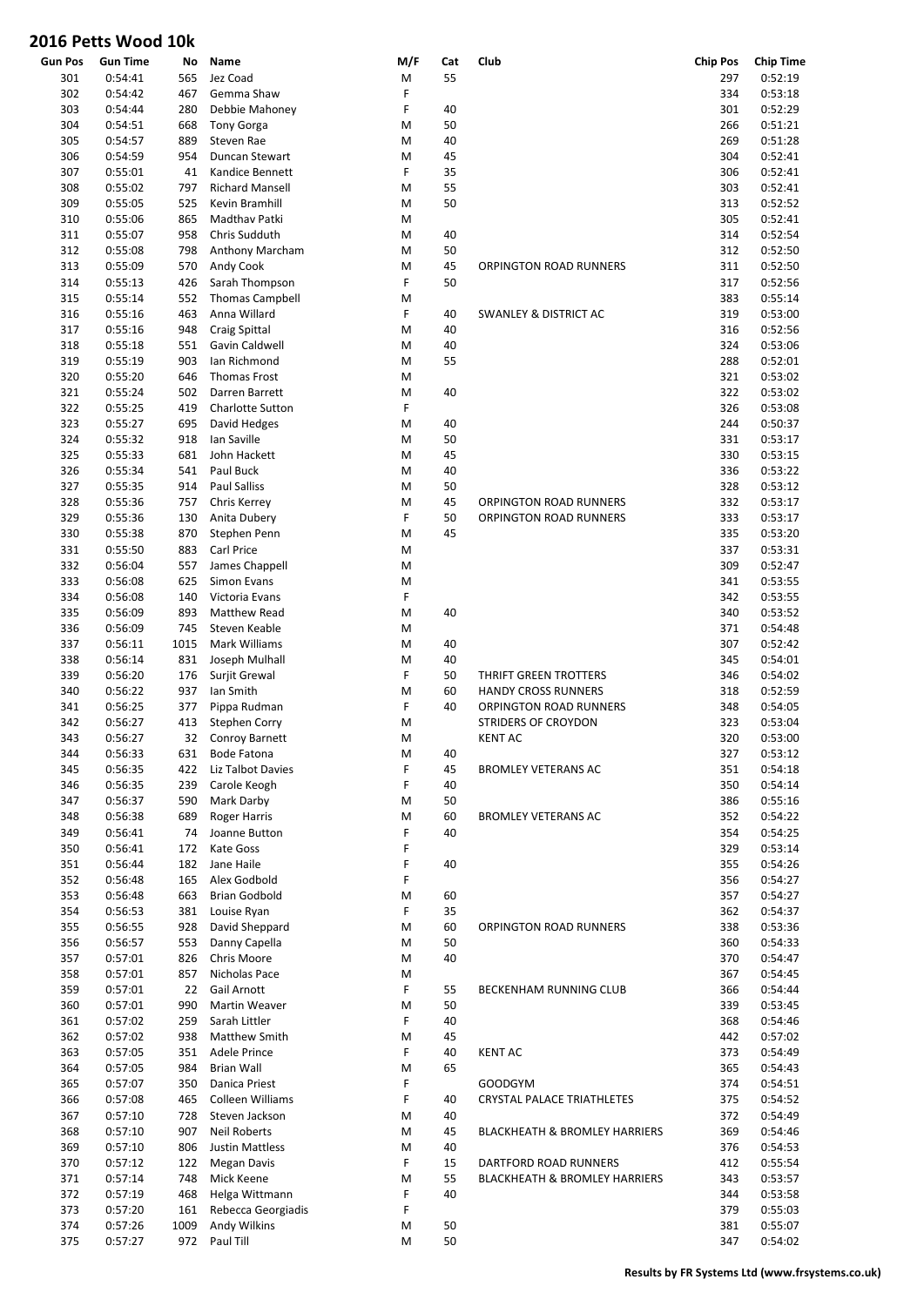| <b>Gun Pos</b> | <b>Gun Time</b> | No   | Name                    | M/F | Cat | Club                                     | <b>Chip Pos</b> | <b>Chip Time</b> |
|----------------|-----------------|------|-------------------------|-----|-----|------------------------------------------|-----------------|------------------|
| 301            | 0:54:41         | 565  | Jez Coad                | Μ   | 55  |                                          | 297             | 0:52:19          |
| 302            | 0:54:42         | 467  | Gemma Shaw              | F   |     |                                          | 334             | 0:53:18          |
| 303            | 0:54:44         | 280  | Debbie Mahoney          | F   | 40  |                                          | 301             | 0:52:29          |
| 304            | 0:54:51         | 668  | <b>Tony Gorga</b>       | М   | 50  |                                          | 266             | 0:51:21          |
| 305            | 0:54:57         | 889  | Steven Rae              | M   | 40  |                                          | 269             | 0:51:28          |
|                |                 |      |                         |     |     |                                          |                 |                  |
| 306            | 0:54:59         | 954  | Duncan Stewart          | M   | 45  |                                          | 304             | 0:52:41          |
| 307            | 0:55:01         | 41   | Kandice Bennett         | F   | 35  |                                          | 306             | 0:52:41          |
| 308            | 0:55:02         | 797  | <b>Richard Mansell</b>  | M   | 55  |                                          | 303             | 0:52:41          |
| 309            | 0:55:05         | 525  | Kevin Bramhill          | M   | 50  |                                          | 313             | 0:52:52          |
| 310            | 0:55:06         | 865  | Madthav Patki           | M   |     |                                          | 305             | 0:52:41          |
| 311            | 0:55:07         | 958  | Chris Sudduth           | M   | 40  |                                          | 314             | 0:52:54          |
| 312            | 0:55:08         | 798  | Anthony Marcham         | M   | 50  |                                          | 312             | 0:52:50          |
|                |                 |      |                         |     |     |                                          |                 |                  |
| 313            | 0:55:09         | 570  | Andy Cook               | M   | 45  | ORPINGTON ROAD RUNNERS                   | 311             | 0:52:50          |
| 314            | 0:55:13         | 426  | Sarah Thompson          | F   | 50  |                                          | 317             | 0:52:56          |
| 315            | 0:55:14         | 552  | <b>Thomas Campbell</b>  | M   |     |                                          | 383             | 0:55:14          |
| 316            | 0:55:16         | 463  | Anna Willard            | F   | 40  | <b>SWANLEY &amp; DISTRICT AC</b>         | 319             | 0:53:00          |
| 317            | 0:55:16         | 948  | Craig Spittal           | M   | 40  |                                          | 316             | 0:52:56          |
| 318            | 0:55:18         | 551  | Gavin Caldwell          | M   | 40  |                                          | 324             | 0:53:06          |
| 319            | 0:55:19         | 903  | Ian Richmond            | M   | 55  |                                          | 288             | 0:52:01          |
|                |                 |      |                         |     |     |                                          |                 |                  |
| 320            | 0:55:20         | 646  | <b>Thomas Frost</b>     | M   |     |                                          | 321             | 0:53:02          |
| 321            | 0:55:24         | 502  | Darren Barrett          | M   | 40  |                                          | 322             | 0:53:02          |
| 322            | 0:55:25         | 419  | <b>Charlotte Sutton</b> | F   |     |                                          | 326             | 0:53:08          |
| 323            | 0:55:27         | 695  | David Hedges            | M   | 40  |                                          | 244             | 0:50:37          |
| 324            | 0:55:32         | 918  | Ian Saville             | M   | 50  |                                          | 331             | 0:53:17          |
| 325            | 0:55:33         | 681  | John Hackett            | M   | 45  |                                          | 330             | 0:53:15          |
|                |                 |      |                         |     |     |                                          |                 | 0:53:22          |
| 326            | 0:55:34         | 541  | Paul Buck               | M   | 40  |                                          | 336             |                  |
| 327            | 0:55:35         | 914  | <b>Paul Salliss</b>     | M   | 50  |                                          | 328             | 0:53:12          |
| 328            | 0:55:36         | 757  | Chris Kerrey            | M   | 45  | ORPINGTON ROAD RUNNERS                   | 332             | 0:53:17          |
| 329            | 0:55:36         | 130  | Anita Dubery            | F   | 50  | ORPINGTON ROAD RUNNERS                   | 333             | 0:53:17          |
| 330            | 0:55:38         | 870  | Stephen Penn            | M   | 45  |                                          | 335             | 0:53:20          |
| 331            | 0:55:50         | 883  | Carl Price              | M   |     |                                          | 337             | 0:53:31          |
| 332            | 0:56:04         | 557  | James Chappell          | M   |     |                                          | 309             | 0:52:47          |
|                |                 |      |                         |     |     |                                          |                 |                  |
| 333            | 0:56:08         | 625  | Simon Evans             | M   |     |                                          | 341             | 0:53:55          |
| 334            | 0:56:08         | 140  | Victoria Evans          | F   |     |                                          | 342             | 0:53:55          |
| 335            | 0:56:09         | 893  | Matthew Read            | M   | 40  |                                          | 340             | 0:53:52          |
| 336            | 0:56:09         | 745  | Steven Keable           | M   |     |                                          | 371             | 0:54:48          |
| 337            | 0:56:11         | 1015 | Mark Williams           | M   | 40  |                                          | 307             | 0:52:42          |
| 338            | 0:56:14         | 831  | Joseph Mulhall          | M   | 40  |                                          | 345             | 0:54:01          |
| 339            | 0:56:20         | 176  | Surjit Grewal           | F   | 50  | THRIFT GREEN TROTTERS                    | 346             | 0:54:02          |
|                |                 |      |                         |     |     |                                          |                 |                  |
| 340            | 0:56:22         | 937  | Ian Smith               | M   | 60  | HANDY CROSS RUNNERS                      | 318             | 0:52:59          |
| 341            | 0:56:25         | 377  | Pippa Rudman            | F   | 40  | ORPINGTON ROAD RUNNERS                   | 348             | 0:54:05          |
| 342            | 0:56:27         | 413  | Stephen Corry           | М   |     | STRIDERS OF CROYDON                      | 323             | 0:53:04          |
| 343            | 0:56:27         | 32   | Conroy Barnett          | M   |     | <b>KENT AC</b>                           | 320             | 0:53:00          |
| 344            | 0:56:33         | 631  | Bode Fatona             | M   | 40  |                                          | 327             | 0:53:12          |
| 345            | 0:56:35         | 422  | Liz Talbot Davies       | F   | 45  | <b>BROMLEY VETERANS AC</b>               | 351             | 0:54:18          |
| 346            | 0:56:35         | 239  | Carole Keogh            | F   | 40  |                                          | 350             | 0:54:14          |
| 347            | 0:56:37         | 590  | Mark Darby              | M   | 50  |                                          | 386             | 0:55:16          |
|                |                 |      |                         |     |     |                                          |                 |                  |
| 348            | 0:56:38         | 689  | <b>Roger Harris</b>     | M   | 60  | <b>BROMLEY VETERANS AC</b>               | 352             | 0:54:22          |
| 349            | 0:56:41         | 74   | Joanne Button           | F   | 40  |                                          | 354             | 0:54:25          |
| 350            | 0:56:41         | 172  | Kate Goss               | F   |     |                                          | 329             | 0:53:14          |
| 351            | 0:56:44         | 182  | Jane Haile              | F   | 40  |                                          | 355             | 0:54:26          |
| 352            | 0:56:48         | 165  | Alex Godbold            | F   |     |                                          | 356             | 0:54:27          |
| 353            | 0:56:48         | 663  | <b>Brian Godbold</b>    | M   | 60  |                                          | 357             | 0:54:27          |
| 354            | 0:56:53         | 381  | Louise Ryan             | F   | 35  |                                          | 362             | 0:54:37          |
| 355            | 0:56:55         | 928  | David Sheppard          | М   | 60  | ORPINGTON ROAD RUNNERS                   | 338             | 0:53:36          |
|                |                 |      |                         |     |     |                                          |                 |                  |
| 356            | 0:56:57         | 553  | Danny Capella           | M   | 50  |                                          | 360             | 0:54:33          |
| 357            | 0:57:01         | 826  | Chris Moore             | M   | 40  |                                          | 370             | 0:54:47          |
| 358            | 0:57:01         | 857  | Nicholas Pace           | M   |     |                                          | 367             | 0:54:45          |
| 359            | 0:57:01         | 22   | Gail Arnott             | F   | 55  | BECKENHAM RUNNING CLUB                   | 366             | 0:54:44          |
| 360            | 0:57:01         | 990  | Martin Weaver           | M   | 50  |                                          | 339             | 0:53:45          |
| 361            | 0:57:02         | 259  | Sarah Littler           | F   | 40  |                                          | 368             | 0:54:46          |
| 362            | 0:57:02         | 938  | Matthew Smith           | M   | 45  |                                          | 442             | 0:57:02          |
|                |                 |      |                         | F   |     |                                          |                 |                  |
| 363            | 0:57:05         | 351  | Adele Prince            |     | 40  | <b>KENT AC</b>                           | 373             | 0:54:49          |
| 364            | 0:57:05         | 984  | Brian Wall              | M   | 65  |                                          | 365             | 0:54:43          |
| 365            | 0:57:07         | 350  | Danica Priest           | F   |     | <b>GOODGYM</b>                           | 374             | 0:54:51          |
| 366            | 0:57:08         | 465  | Colleen Williams        | F   | 40  | <b>CRYSTAL PALACE TRIATHLETES</b>        | 375             | 0:54:52          |
| 367            | 0:57:10         | 728  | Steven Jackson          | M   | 40  |                                          | 372             | 0:54:49          |
| 368            | 0:57:10         | 907  | Neil Roberts            | M   | 45  | <b>BLACKHEATH &amp; BROMLEY HARRIERS</b> | 369             | 0:54:46          |
| 369            | 0:57:10         | 806  | <b>Justin Mattless</b>  | M   | 40  |                                          | 376             | 0:54:53          |
| 370            | 0:57:12         | 122  | <b>Megan Davis</b>      | F   | 15  | DARTFORD ROAD RUNNERS                    | 412             | 0:55:54          |
|                |                 |      |                         |     |     |                                          |                 |                  |
| 371            | 0:57:14         | 748  | Mick Keene              | M   | 55  | <b>BLACKHEATH &amp; BROMLEY HARRIERS</b> | 343             | 0:53:57          |
| 372            | 0:57:19         | 468  | Helga Wittmann          | F   | 40  |                                          | 344             | 0:53:58          |
| 373            | 0:57:20         | 161  | Rebecca Georgiadis      | F   |     |                                          | 379             | 0:55:03          |
| 374            | 0:57:26         | 1009 | Andy Wilkins            | М   | 50  |                                          | 381             | 0:55:07          |
| 375            | 0:57:27         | 972  | Paul Till               | М   | 50  |                                          | 347             | 0:54:02          |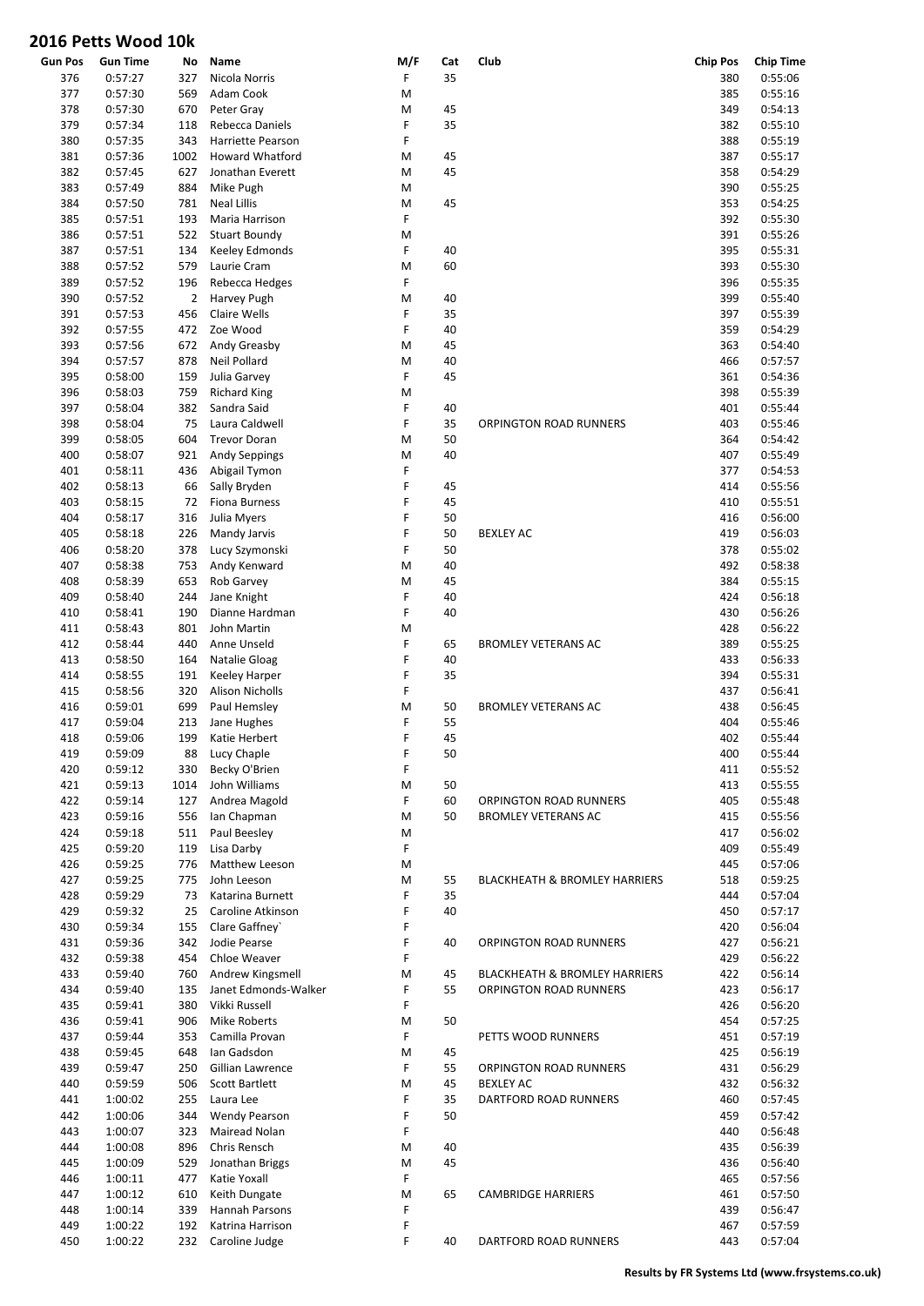| <b>Gun Pos</b> | <b>Gun Time</b> | No             | Name                     | M/F | Cat | Club                                     | <b>Chip Pos</b> | <b>Chip Time</b> |
|----------------|-----------------|----------------|--------------------------|-----|-----|------------------------------------------|-----------------|------------------|
| 376            | 0:57:27         | 327            | Nicola Norris            | F   | 35  |                                          | 380             | 0:55:06          |
| 377            | 0:57:30         | 569            | Adam Cook                | M   |     |                                          | 385             | 0:55:16          |
| 378            | 0:57:30         | 670            | Peter Gray               | M   | 45  |                                          | 349             | 0:54:13          |
| 379            | 0:57:34         | 118            | Rebecca Daniels          | F   | 35  |                                          | 382             | 0:55:10          |
| 380            | 0:57:35         | 343            | <b>Harriette Pearson</b> | F   |     |                                          | 388             | 0:55:19          |
| 381            | 0:57:36         | 1002           | <b>Howard Whatford</b>   | M   | 45  |                                          | 387             | 0:55:17          |
| 382            | 0:57:45         | 627            | Jonathan Everett         | M   | 45  |                                          | 358             | 0:54:29          |
| 383            | 0:57:49         | 884            | Mike Pugh                | M   |     |                                          | 390             | 0:55:25          |
| 384            | 0:57:50         | 781            | <b>Neal Lillis</b>       | M   | 45  |                                          | 353             | 0:54:25          |
| 385            | 0:57:51         | 193            | Maria Harrison           | F   |     |                                          | 392             | 0:55:30          |
| 386            | 0:57:51         | 522            | <b>Stuart Boundy</b>     | M   |     |                                          | 391             | 0:55:26          |
| 387            | 0:57:51         | 134            | Keeley Edmonds           | F   | 40  |                                          | 395             | 0:55:31          |
| 388            | 0:57:52         | 579            | Laurie Cram              | M   | 60  |                                          | 393             | 0:55:30          |
| 389            | 0:57:52         | 196            | Rebecca Hedges           | F   |     |                                          | 396             | 0:55:35          |
| 390            | 0:57:52         | $\overline{2}$ | Harvey Pugh              | M   | 40  |                                          | 399             | 0:55:40          |
| 391            | 0:57:53         | 456            | Claire Wells             | F   | 35  |                                          | 397             | 0:55:39          |
| 392            | 0:57:55         | 472            | Zoe Wood                 | F   | 40  |                                          | 359             | 0:54:29          |
| 393            | 0:57:56         | 672            | Andy Greasby             | M   | 45  |                                          | 363             | 0:54:40          |
| 394            | 0:57:57         | 878            | Neil Pollard             | M   | 40  |                                          | 466             | 0:57:57          |
| 395            | 0:58:00         | 159            | Julia Garvey             | F   | 45  |                                          | 361             | 0:54:36          |
| 396            | 0:58:03         | 759            | <b>Richard King</b>      | M   |     |                                          | 398             | 0:55:39          |
| 397            | 0:58:04         | 382            | Sandra Said              | F   | 40  |                                          | 401             | 0:55:44          |
| 398            | 0:58:04         | 75             | Laura Caldwell           | F   | 35  | <b>ORPINGTON ROAD RUNNERS</b>            | 403             | 0:55:46          |
| 399            | 0:58:05         | 604            | <b>Trevor Doran</b>      | M   | 50  |                                          | 364             | 0:54:42          |
|                |                 |                |                          |     | 40  |                                          |                 |                  |
| 400            | 0:58:07         | 921            | Andy Seppings            | M   |     |                                          | 407             | 0:55:49          |
| 401            | 0:58:11         | 436            | Abigail Tymon            | F   |     |                                          | 377             | 0:54:53          |
| 402            | 0:58:13         | 66             | Sally Bryden             | F   | 45  |                                          | 414             | 0:55:56          |
| 403            | 0:58:15         | 72             | Fiona Burness            | F   | 45  |                                          | 410             | 0:55:51          |
| 404            | 0:58:17         | 316            | Julia Myers              | F   | 50  |                                          | 416             | 0:56:00          |
| 405            | 0:58:18         | 226            | Mandy Jarvis             | F   | 50  | <b>BEXLEY AC</b>                         | 419             | 0:56:03          |
| 406            | 0:58:20         | 378            | Lucy Szymonski           | F   | 50  |                                          | 378             | 0:55:02          |
| 407            | 0:58:38         | 753            | Andy Kenward             | M   | 40  |                                          | 492             | 0:58:38          |
| 408            | 0:58:39         | 653            | Rob Garvey               | M   | 45  |                                          | 384             | 0:55:15          |
| 409            | 0:58:40         | 244            | Jane Knight              | F   | 40  |                                          | 424             | 0:56:18          |
| 410            | 0:58:41         | 190            | Dianne Hardman           | F   | 40  |                                          | 430             | 0:56:26          |
| 411            | 0:58:43         | 801            | John Martin              | M   |     |                                          | 428             | 0:56:22          |
| 412            | 0:58:44         | 440            | Anne Unseld              | F   | 65  | <b>BROMLEY VETERANS AC</b>               | 389             | 0:55:25          |
| 413            | 0:58:50         | 164            | Natalie Gloag            | F   | 40  |                                          | 433             | 0:56:33          |
| 414            | 0:58:55         | 191            | <b>Keeley Harper</b>     | F   | 35  |                                          | 394             | 0:55:31          |
| 415            | 0:58:56         | 320            | <b>Alison Nicholls</b>   | F   |     |                                          | 437             | 0:56:41          |
| 416            | 0:59:01         | 699            | Paul Hemsley             | M   | 50  | <b>BROMLEY VETERANS AC</b>               | 438             | 0:56:45          |
| 417            | 0:59:04         | 213            | Jane Hughes              | F   | 55  |                                          | 404             | 0:55:46          |
| 418            | 0:59:06         | 199            | Katie Herbert            | F   | 45  |                                          | 402             | 0:55:44          |
| 419            | 0:59:09         | 88             | Lucy Chaple              | F   | 50  |                                          | 400             | 0:55:44          |
| 420            | 0:59:12         | 330            | Becky O'Brien            | F   |     |                                          | 411             | 0:55:52          |
| 421            | 0:59:13         | 1014           | John Williams            | M   | 50  |                                          | 413             | 0:55:55          |
| 422            | 0:59:14         | 127            | Andrea Magold            | F   | 60  | ORPINGTON ROAD RUNNERS                   | 405             | 0:55:48          |
| 423            | 0:59:16         | 556            | lan Chapman              | M   | 50  | <b>BROMLEY VETERANS AC</b>               | 415             | 0:55:56          |
| 424            | 0:59:18         | 511            | Paul Beesley             | M   |     |                                          | 417             | 0:56:02          |
| 425            | 0:59:20         | 119            | Lisa Darby               | F   |     |                                          | 409             | 0:55:49          |
| 426            | 0:59:25         | 776            | Matthew Leeson           | M   |     |                                          | 445             | 0:57:06          |
| 427            | 0:59:25         | 775            | John Leeson              | M   | 55  | <b>BLACKHEATH &amp; BROMLEY HARRIERS</b> | 518             | 0:59:25          |
| 428            | 0:59:29         | 73             | Katarina Burnett         | F   | 35  |                                          | 444             | 0:57:04          |
| 429            | 0:59:32         | 25             | Caroline Atkinson        | F   | 40  |                                          | 450             | 0:57:17          |
| 430            | 0:59:34         | 155            | Clare Gaffney`           | F   |     |                                          | 420             | 0:56:04          |
| 431            | 0:59:36         | 342            | Jodie Pearse             | F   | 40  | ORPINGTON ROAD RUNNERS                   | 427             | 0:56:21          |
| 432            | 0:59:38         | 454            | Chloe Weaver             | F   |     |                                          | 429             | 0:56:22          |
| 433            | 0:59:40         | 760            | Andrew Kingsmell         | M   | 45  | <b>BLACKHEATH &amp; BROMLEY HARRIERS</b> | 422             | 0:56:14          |
|                |                 |                | Janet Edmonds-Walker     | F   | 55  | <b>ORPINGTON ROAD RUNNERS</b>            |                 |                  |
| 434            | 0:59:40         | 135            |                          |     |     |                                          | 423             | 0:56:17          |
| 435            | 0:59:41         | 380            | Vikki Russell            | F   |     |                                          | 426             | 0:56:20          |
| 436            | 0:59:41         | 906            | <b>Mike Roberts</b>      | M   | 50  |                                          | 454             | 0:57:25          |
| 437            | 0:59:44         | 353            | Camilla Provan           | F   |     | PETTS WOOD RUNNERS                       | 451             | 0:57:19          |
| 438            | 0:59:45         | 648            | Ian Gadsdon              | M   | 45  |                                          | 425             | 0:56:19          |
| 439            | 0:59:47         | 250            | Gillian Lawrence         | F   | 55  | ORPINGTON ROAD RUNNERS                   | 431             | 0:56:29          |
| 440            | 0:59:59         | 506            | Scott Bartlett           | M   | 45  | <b>BEXLEY AC</b>                         | 432             | 0:56:32          |
| 441            | 1:00:02         | 255            | Laura Lee                | F   | 35  | DARTFORD ROAD RUNNERS                    | 460             | 0:57:45          |
| 442            | 1:00:06         | 344            | <b>Wendy Pearson</b>     | F   | 50  |                                          | 459             | 0:57:42          |
| 443            | 1:00:07         | 323            | Mairead Nolan            | F   |     |                                          | 440             | 0:56:48          |
| 444            | 1:00:08         | 896            | Chris Rensch             | M   | 40  |                                          | 435             | 0:56:39          |
| 445            | 1:00:09         | 529            | Jonathan Briggs          | M   | 45  |                                          | 436             | 0:56:40          |
| 446            | 1:00:11         | 477            | Katie Yoxall             | F   |     |                                          | 465             | 0:57:56          |
| 447            | 1:00:12         | 610            | Keith Dungate            | M   | 65  | <b>CAMBRIDGE HARRIERS</b>                | 461             | 0:57:50          |
| 448            | 1:00:14         | 339            | Hannah Parsons           | F   |     |                                          | 439             | 0:56:47          |
| 449            | 1:00:22         | 192            | Katrina Harrison         | F   |     |                                          | 467             | 0:57:59          |
| 450            | 1:00:22         | 232            | Caroline Judge           | F   | 40  | DARTFORD ROAD RUNNERS                    | 443             | 0:57:04          |
|                |                 |                |                          |     |     |                                          |                 |                  |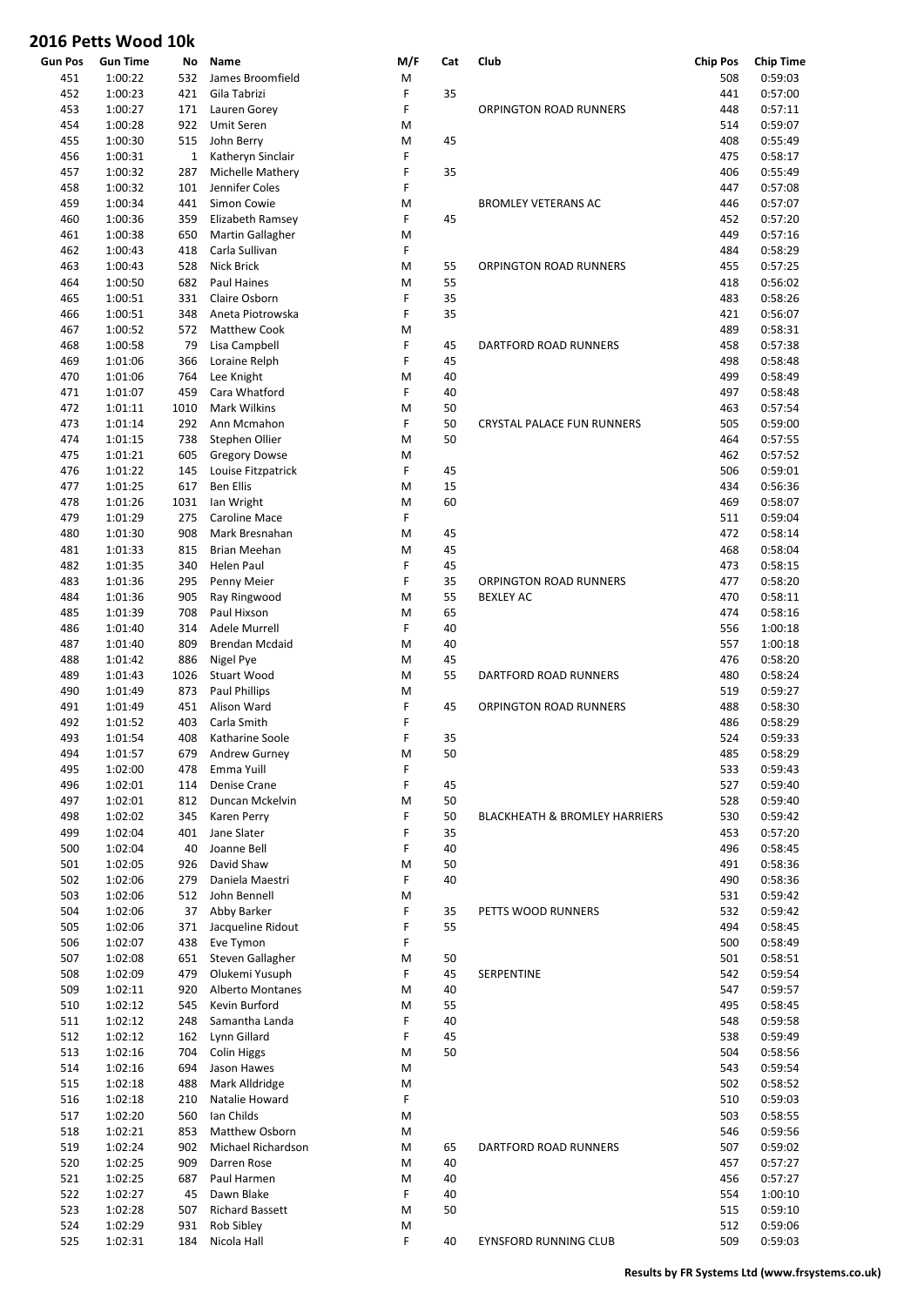| <b>Gun Pos</b> | <b>Gun Time</b> | No           | Name                    | M/F       | Cat | Club                                     | <b>Chip Pos</b> | <b>Chip Time</b> |
|----------------|-----------------|--------------|-------------------------|-----------|-----|------------------------------------------|-----------------|------------------|
| 451            | 1:00:22         | 532          | James Broomfield        | M         |     |                                          | 508             | 0:59:03          |
| 452            | 1:00:23         | 421          | Gila Tabrizi            | F         | 35  |                                          | 441             | 0:57:00          |
| 453            | 1:00:27         | 171          | Lauren Gorey            | F         |     | <b>ORPINGTON ROAD RUNNERS</b>            | 448             | 0:57:11          |
| 454            | 1:00:28         | 922          | <b>Umit Seren</b>       | M         |     |                                          | 514             | 0:59:07          |
| 455            | 1:00:30         | 515          | John Berry              | M         | 45  |                                          | 408             | 0:55:49          |
| 456            | 1:00:31         | $\mathbf{1}$ | Katheryn Sinclair       | F         |     |                                          | 475             | 0:58:17          |
| 457            | 1:00:32         | 287          | Michelle Mathery        | F         | 35  |                                          | 406             | 0:55:49          |
| 458            | 1:00:32         | 101          | Jennifer Coles          | F         |     |                                          | 447             | 0:57:08          |
| 459            | 1:00:34         | 441          | Simon Cowie             | M         |     | <b>BROMLEY VETERANS AC</b>               | 446             | 0:57:07          |
| 460            | 1:00:36         | 359          | Elizabeth Ramsey        | F         | 45  |                                          | 452             | 0:57:20          |
| 461            | 1:00:38         | 650          | <b>Martin Gallagher</b> | M         |     |                                          | 449             | 0:57:16          |
| 462            | 1:00:43         | 418          | Carla Sullivan          | F         |     |                                          | 484             | 0:58:29          |
|                |                 |              |                         |           |     |                                          |                 | 0:57:25          |
| 463            | 1:00:43         | 528          | <b>Nick Brick</b>       | M         | 55  | ORPINGTON ROAD RUNNERS                   | 455             |                  |
| 464            | 1:00:50         | 682          | <b>Paul Haines</b>      | M         | 55  |                                          | 418             | 0:56:02          |
| 465            | 1:00:51         | 331          | Claire Osborn           | F         | 35  |                                          | 483             | 0:58:26          |
| 466            | 1:00:51         | 348          | Aneta Piotrowska        | F         | 35  |                                          | 421             | 0:56:07          |
| 467            | 1:00:52         | 572          | <b>Matthew Cook</b>     | M         |     |                                          | 489             | 0:58:31          |
| 468            | 1:00:58         | 79           | Lisa Campbell           | F         | 45  | DARTFORD ROAD RUNNERS                    | 458             | 0:57:38          |
| 469            | 1:01:06         | 366          | Loraine Relph           | F         | 45  |                                          | 498             | 0:58:48          |
| 470            | 1:01:06         | 764          | Lee Knight              | M         | 40  |                                          | 499             | 0:58:49          |
| 471            | 1:01:07         | 459          | Cara Whatford           | F         | 40  |                                          | 497             | 0:58:48          |
| 472            | 1:01:11         | 1010         | <b>Mark Wilkins</b>     | M         | 50  |                                          | 463             | 0:57:54          |
| 473            | 1:01:14         | 292          | Ann Mcmahon             | F         | 50  | <b>CRYSTAL PALACE FUN RUNNERS</b>        | 505             | 0:59:00          |
| 474            | 1:01:15         | 738          | Stephen Ollier          | M         | 50  |                                          | 464             | 0:57:55          |
| 475            | 1:01:21         | 605          | <b>Gregory Dowse</b>    | M         |     |                                          | 462             | 0:57:52          |
| 476            | 1:01:22         | 145          | Louise Fitzpatrick      | F         | 45  |                                          | 506             | 0:59:01          |
|                | 1:01:25         |              | <b>Ben Ellis</b>        |           | 15  |                                          |                 |                  |
| 477            |                 | 617          |                         | M         |     |                                          | 434             | 0:56:36          |
| 478            | 1:01:26         | 1031         | lan Wright              | M         | 60  |                                          | 469             | 0:58:07          |
| 479            | 1:01:29         | 275          | <b>Caroline Mace</b>    | F         |     |                                          | 511             | 0:59:04          |
| 480            | 1:01:30         | 908          | Mark Bresnahan          | M         | 45  |                                          | 472             | 0:58:14          |
| 481            | 1:01:33         | 815          | Brian Meehan            | M         | 45  |                                          | 468             | 0:58:04          |
| 482            | 1:01:35         | 340          | Helen Paul              | F         | 45  |                                          | 473             | 0:58:15          |
| 483            | 1:01:36         | 295          | Penny Meier             | F         | 35  | ORPINGTON ROAD RUNNERS                   | 477             | 0:58:20          |
| 484            | 1:01:36         | 905          | Ray Ringwood            | M         | 55  | <b>BEXLEY AC</b>                         | 470             | 0:58:11          |
| 485            | 1:01:39         | 708          | Paul Hixson             | M         | 65  |                                          | 474             | 0:58:16          |
| 486            | 1:01:40         | 314          | Adele Murrell           | F         | 40  |                                          | 556             | 1:00:18          |
| 487            | 1:01:40         | 809          | Brendan Mcdaid          | M         | 40  |                                          | 557             | 1:00:18          |
| 488            | 1:01:42         | 886          | Nigel Pye               | M         | 45  |                                          | 476             | 0:58:20          |
| 489            | 1:01:43         | 1026         | Stuart Wood             | M         | 55  | DARTFORD ROAD RUNNERS                    | 480             | 0:58:24          |
| 490            |                 | 873          |                         | M         |     |                                          | 519             |                  |
|                | 1:01:49         |              | Paul Phillips           |           |     |                                          |                 | 0:59:27          |
| 491            | 1:01:49         | 451          | Alison Ward             | F         | 45  | ORPINGTON ROAD RUNNERS                   | 488             | 0:58:30          |
| 492            | 1:01:52         | 403          | Carla Smith             | F         |     |                                          | 486             | 0:58:29          |
| 493            | 1:01:54         | 408          | Katharine Soole         | F         | 35  |                                          | 524             | 0:59:33          |
| 494            | 1:01:57         |              | 679 Andrew Gurney       | ${\sf M}$ | 50  |                                          | 485             | 0:58:29          |
| 495            | 1:02:00         | 478          | Emma Yuill              | F         |     |                                          | 533             | 0:59:43          |
| 496            | 1:02:01         | 114          | Denise Crane            | F         | 45  |                                          | 527             | 0:59:40          |
| 497            | 1:02:01         | 812          | Duncan Mckelvin         | M         | 50  |                                          | 528             | 0:59:40          |
| 498            | 1:02:02         | 345          | Karen Perry             | F         | 50  | <b>BLACKHEATH &amp; BROMLEY HARRIERS</b> | 530             | 0:59:42          |
| 499            | 1:02:04         | 401          | Jane Slater             | F         | 35  |                                          | 453             | 0:57:20          |
| 500            | 1:02:04         | 40           | Joanne Bell             | F         | 40  |                                          | 496             | 0:58:45          |
| 501            | 1:02:05         | 926          | David Shaw              | M         | 50  |                                          | 491             | 0:58:36          |
| 502            | 1:02:06         | 279          | Daniela Maestri         | F         | 40  |                                          | 490             | 0:58:36          |
| 503            | 1:02:06         | 512          | John Bennell            | M         |     |                                          | 531             | 0:59:42          |
| 504            | 1:02:06         | 37           | Abby Barker             | F         | 35  | PETTS WOOD RUNNERS                       | 532             | 0:59:42          |
| 505            | 1:02:06         | 371          | Jacqueline Ridout       | F         | 55  |                                          | 494             | 0:58:45          |
|                |                 |              |                         |           |     |                                          |                 |                  |
| 506            | 1:02:07         | 438          | Eve Tymon               | F         |     |                                          | 500             | 0:58:49          |
| 507            | 1:02:08         | 651          | Steven Gallagher        | M         | 50  |                                          | 501             | 0:58:51          |
| 508            | 1:02:09         | 479          | Olukemi Yusuph          | F         | 45  | SERPENTINE                               | 542             | 0:59:54          |
| 509            | 1:02:11         | 920          | <b>Alberto Montanes</b> | M         | 40  |                                          | 547             | 0:59:57          |
| 510            | 1:02:12         | 545          | Kevin Burford           | M         | 55  |                                          | 495             | 0:58:45          |
| 511            | 1:02:12         | 248          | Samantha Landa          | F         | 40  |                                          | 548             | 0:59:58          |
| 512            | 1:02:12         | 162          | Lynn Gillard            | F         | 45  |                                          | 538             | 0:59:49          |
| 513            | 1:02:16         | 704          | <b>Colin Higgs</b>      | M         | 50  |                                          | 504             | 0:58:56          |
| 514            | 1:02:16         | 694          | Jason Hawes             | M         |     |                                          | 543             | 0:59:54          |
| 515            | 1:02:18         | 488          | Mark Alldridge          | M         |     |                                          | 502             | 0:58:52          |
| 516            | 1:02:18         | 210          | Natalie Howard          | F         |     |                                          | 510             | 0:59:03          |
| 517            | 1:02:20         | 560          | Ian Childs              | M         |     |                                          | 503             | 0:58:55          |
|                |                 |              |                         |           |     |                                          |                 |                  |
| 518            | 1:02:21         | 853          | Matthew Osborn          | M         |     |                                          | 546             | 0:59:56          |
| 519            | 1:02:24         | 902          | Michael Richardson      | M         | 65  | DARTFORD ROAD RUNNERS                    | 507             | 0:59:02          |
| 520            | 1:02:25         | 909          | Darren Rose             | M         | 40  |                                          | 457             | 0:57:27          |
| 521            | 1:02:25         | 687          | Paul Harmen             | M         | 40  |                                          | 456             | 0:57:27          |
| 522            | 1:02:27         | 45           | Dawn Blake              | F         | 40  |                                          | 554             | 1:00:10          |
| 523            | 1:02:28         | 507          | <b>Richard Bassett</b>  | M         | 50  |                                          | 515             | 0:59:10          |
| 524            | 1:02:29         | 931          | Rob Sibley              | M         |     |                                          | 512             | 0:59:06          |
| 525            | 1:02:31         | 184          | Nicola Hall             | F         | 40  | EYNSFORD RUNNING CLUB                    | 509             | 0:59:03          |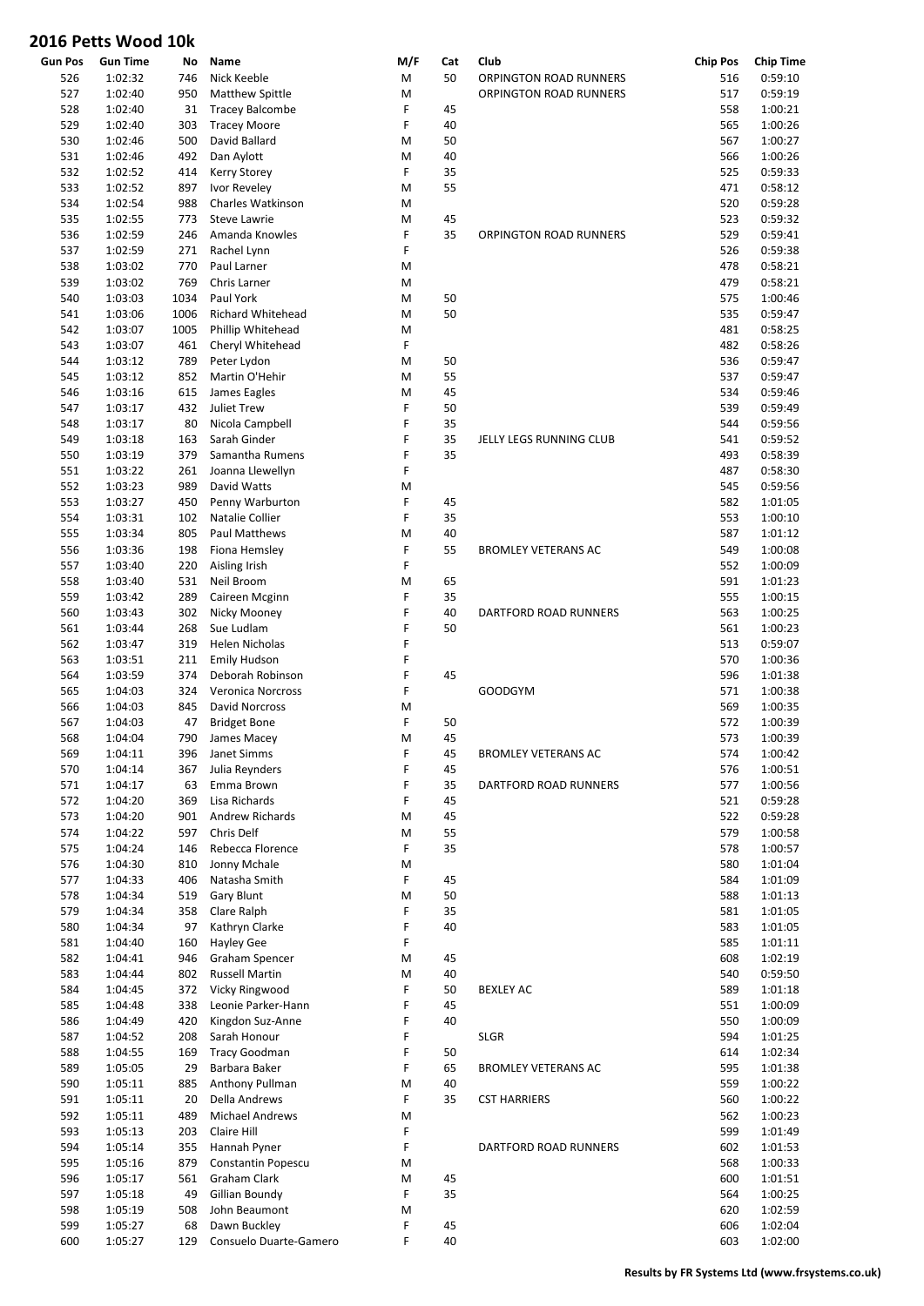|                | UIU I CLLJ VVUUU IUN |      |                          |     |     |                               |                 |                  |
|----------------|----------------------|------|--------------------------|-----|-----|-------------------------------|-----------------|------------------|
| <b>Gun Pos</b> | <b>Gun Time</b>      | No   | Name                     | M/F | Cat | Club                          | <b>Chip Pos</b> | <b>Chip Time</b> |
| 526            | 1:02:32              | 746  | Nick Keeble              | M   | 50  | ORPINGTON ROAD RUNNERS        | 516             | 0:59:10          |
| 527            | 1:02:40              | 950  | Matthew Spittle          | M   |     | <b>ORPINGTON ROAD RUNNERS</b> | 517             | 0:59:19          |
| 528            | 1:02:40              | 31   | <b>Tracey Balcombe</b>   | F   | 45  |                               | 558             | 1:00:21          |
| 529            | 1:02:40              | 303  | <b>Tracey Moore</b>      | F   | 40  |                               | 565             | 1:00:26          |
| 530            | 1:02:46              | 500  | David Ballard            | M   | 50  |                               | 567             | 1:00:27          |
| 531            | 1:02:46              | 492  | Dan Aylott               | M   | 40  |                               | 566             | 1:00:26          |
| 532            | 1:02:52              | 414  | <b>Kerry Storey</b>      | F   | 35  |                               | 525             | 0:59:33          |
| 533            | 1:02:52              | 897  | Ivor Reveley             | M   | 55  |                               | 471             | 0:58:12          |
| 534            | 1:02:54              | 988  | Charles Watkinson        | M   |     |                               | 520             | 0:59:28          |
| 535            | 1:02:55              | 773  | <b>Steve Lawrie</b>      | M   | 45  |                               | 523             | 0:59:32          |
| 536            | 1:02:59              | 246  | Amanda Knowles           | F   | 35  | <b>ORPINGTON ROAD RUNNERS</b> | 529             | 0:59:41          |
| 537            | 1:02:59              | 271  | Rachel Lynn              | F   |     |                               | 526             | 0:59:38          |
| 538            | 1:03:02              | 770  | Paul Larner              | M   |     |                               | 478             | 0:58:21          |
| 539            | 1:03:02              | 769  | Chris Larner             | M   |     |                               | 479             | 0:58:21          |
| 540            | 1:03:03              | 1034 | Paul York                | M   | 50  |                               | 575             | 1:00:46          |
| 541            | 1:03:06              | 1006 | <b>Richard Whitehead</b> | M   | 50  |                               | 535             | 0:59:47          |
| 542            | 1:03:07              | 1005 | Phillip Whitehead        | M   |     |                               | 481             | 0:58:25          |
| 543            | 1:03:07              | 461  | Cheryl Whitehead         | F   |     |                               | 482             | 0:58:26          |
| 544            | 1:03:12              | 789  | Peter Lydon              | M   | 50  |                               | 536             | 0:59:47          |
| 545            | 1:03:12              | 852  | Martin O'Hehir           | M   | 55  |                               | 537             | 0:59:47          |
| 546            | 1:03:16              | 615  | James Eagles             | M   | 45  |                               | 534             | 0:59:46          |
| 547            | 1:03:17              | 432  | Juliet Trew              | F   | 50  |                               | 539             | 0:59:49          |
| 548            | 1:03:17              | 80   | Nicola Campbell          | F   | 35  |                               | 544             | 0:59:56          |
| 549            | 1:03:18              | 163  | Sarah Ginder             | F   | 35  | JELLY LEGS RUNNING CLUB       | 541             | 0:59:52          |
| 550            | 1:03:19              | 379  | Samantha Rumens          | F   | 35  |                               | 493             | 0:58:39          |
| 551            | 1:03:22              | 261  | Joanna Llewellyn         | F   |     |                               | 487             | 0:58:30          |
| 552            | 1:03:23              | 989  | David Watts              | M   |     |                               | 545             | 0:59:56          |
| 553            | 1:03:27              | 450  | Penny Warburton          | F   | 45  |                               | 582             | 1:01:05          |
| 554            | 1:03:31              | 102  | Natalie Collier          | F   | 35  |                               | 553             | 1:00:10          |
| 555            | 1:03:34              | 805  | Paul Matthews            | M   | 40  |                               | 587             | 1:01:12          |
| 556            | 1:03:36              | 198  | Fiona Hemsley            | F   | 55  | <b>BROMLEY VETERANS AC</b>    | 549             | 1:00:08          |
| 557            | 1:03:40              | 220  | Aisling Irish            | F   |     |                               | 552             | 1:00:09          |
| 558            | 1:03:40              | 531  | Neil Broom               | M   | 65  |                               | 591             | 1:01:23          |
| 559            | 1:03:42              | 289  | Caireen Mcginn           | F   | 35  |                               | 555             | 1:00:15          |
| 560            | 1:03:43              | 302  | Nicky Mooney             | F   | 40  | DARTFORD ROAD RUNNERS         | 563             | 1:00:25          |
| 561            | 1:03:44              | 268  | Sue Ludlam               | F   | 50  |                               | 561             | 1:00:23          |
| 562            | 1:03:47              | 319  | <b>Helen Nicholas</b>    | F   |     |                               | 513             | 0:59:07          |
| 563            | 1:03:51              | 211  | <b>Emily Hudson</b>      | F   |     |                               | 570             | 1:00:36          |
| 564            | 1:03:59              | 374  | Deborah Robinson         | F   | 45  |                               | 596             | 1:01:38          |
| 565            | 1:04:03              | 324  | <b>Veronica Norcross</b> | F   |     | <b>GOODGYM</b>                | 571             | 1:00:38          |
| 566            | 1:04:03              | 845  | David Norcross           | M   |     |                               | 569             | 1:00:35          |
| 567            | 1:04:03              | 47   |                          | F   | 50  |                               | 572             | 1:00:39          |
|                |                      |      | <b>Bridget Bone</b>      |     | 45  |                               |                 |                  |
| 568            | 1:04:04              | 790  | James Macey              | M   |     |                               | 573             | 1:00:39          |
| 569            | 1:04:11              | 396  | Janet Simms              | F   | 45  | <b>BROMLEY VETERANS AC</b>    | 574             | 1:00:42          |
| 570            | 1:04:14              | 367  | Julia Reynders           | F   | 45  |                               | 576             | 1:00:51          |
| 571            | 1:04:17              | 63   | Emma Brown               | F   | 35  | DARTFORD ROAD RUNNERS         | 577             | 1:00:56          |
| 572            | 1:04:20              | 369  | Lisa Richards            | F   | 45  |                               | 521             | 0:59:28          |
| 573            | 1:04:20              | 901  | Andrew Richards          | M   | 45  |                               | 522             | 0:59:28          |
| 574            | 1:04:22              | 597  | Chris Delf               | M   | 55  |                               | 579             | 1:00:58          |
| 575            | 1:04:24              | 146  | Rebecca Florence         | F   | 35  |                               | 578             | 1:00:57          |
| 576            | 1:04:30              | 810  | Jonny Mchale             | M   |     |                               | 580             | 1:01:04          |
| 577            | 1:04:33              | 406  | Natasha Smith            | F   | 45  |                               | 584             | 1:01:09          |
| 578            | 1:04:34              | 519  | Gary Blunt               | M   | 50  |                               | 588             | 1:01:13          |
| 579            | 1:04:34              | 358  | Clare Ralph              | F   | 35  |                               | 581             | 1:01:05          |
| 580            | 1:04:34              | 97   | Kathryn Clarke           | F   | 40  |                               | 583             | 1:01:05          |
| 581            | 1:04:40              | 160  | <b>Hayley Gee</b>        | F   |     |                               | 585             | 1:01:11          |
| 582            | 1:04:41              | 946  | Graham Spencer           | M   | 45  |                               | 608             | 1:02:19          |
| 583            | 1:04:44              | 802  | <b>Russell Martin</b>    | M   | 40  |                               | 540             | 0:59:50          |
| 584            | 1:04:45              | 372  | Vicky Ringwood           | F   | 50  | <b>BEXLEY AC</b>              | 589             | 1:01:18          |
| 585            | 1:04:48              | 338  | Leonie Parker-Hann       | F   | 45  |                               | 551             | 1:00:09          |
| 586            | 1:04:49              | 420  | Kingdon Suz-Anne         | F   | 40  |                               | 550             | 1:00:09          |
| 587            | 1:04:52              | 208  | Sarah Honour             | F   |     | <b>SLGR</b>                   | 594             | 1:01:25          |
| 588            | 1:04:55              | 169  | <b>Tracy Goodman</b>     | F   | 50  |                               | 614             | 1:02:34          |
| 589            | 1:05:05              | 29   | Barbara Baker            | F   | 65  | <b>BROMLEY VETERANS AC</b>    | 595             | 1:01:38          |
| 590            | 1:05:11              | 885  | Anthony Pullman          | M   | 40  |                               | 559             | 1:00:22          |
| 591            | 1:05:11              | 20   | Della Andrews            | F   | 35  | <b>CST HARRIERS</b>           | 560             | 1:00:22          |
| 592            | 1:05:11              | 489  | Michael Andrews          | M   |     |                               | 562             | 1:00:23          |
| 593            | 1:05:13              | 203  | Claire Hill              | F   |     |                               | 599             | 1:01:49          |
| 594            | 1:05:14              | 355  | Hannah Pyner             | F   |     | DARTFORD ROAD RUNNERS         | 602             | 1:01:53          |
| 595            | 1:05:16              | 879  | Constantin Popescu       | M   |     |                               | 568             | 1:00:33          |
| 596            | 1:05:17              | 561  | Graham Clark             | M   | 45  |                               | 600             | 1:01:51          |
| 597            | 1:05:18              | 49   | Gillian Boundy           | F   | 35  |                               | 564             | 1:00:25          |
| 598            | 1:05:19              | 508  | John Beaumont            | M   |     |                               | 620             | 1:02:59          |
| 599            | 1:05:27              | 68   | Dawn Buckley             | F   | 45  |                               | 606             | 1:02:04          |
| 600            | 1:05:27              | 129  | Consuelo Duarte-Gamero   | F   | 40  |                               | 603             | 1:02:00          |
|                |                      |      |                          |     |     |                               |                 |                  |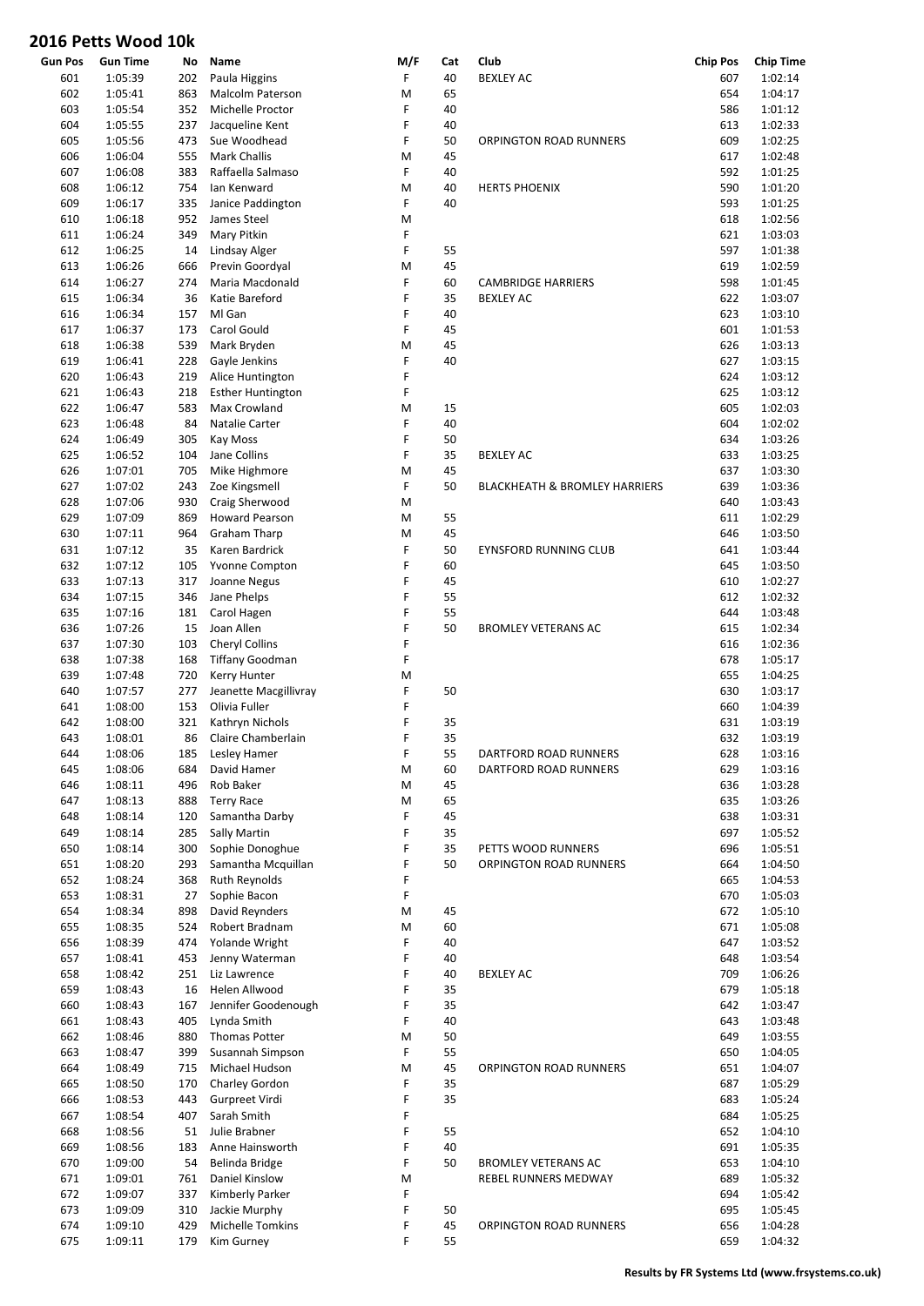| Gun Pos | <b>Gun Time</b> | No  | Name                     | M/F | Cat | Club                                     | <b>Chip Pos</b> | <b>Chip Time</b> |
|---------|-----------------|-----|--------------------------|-----|-----|------------------------------------------|-----------------|------------------|
| 601     | 1:05:39         | 202 | Paula Higgins            | F   | 40  | <b>BEXLEY AC</b>                         | 607             | 1:02:14          |
| 602     | 1:05:41         | 863 | <b>Malcolm Paterson</b>  | M   | 65  |                                          | 654             | 1:04:17          |
| 603     | 1:05:54         | 352 | Michelle Proctor         | F   | 40  |                                          | 586             | 1:01:12          |
| 604     | 1:05:55         | 237 | Jacqueline Kent          | F   | 40  |                                          | 613             | 1:02:33          |
| 605     | 1:05:56         | 473 | Sue Woodhead             | F   | 50  | <b>ORPINGTON ROAD RUNNERS</b>            | 609             | 1:02:25          |
| 606     | 1:06:04         | 555 | <b>Mark Challis</b>      | M   | 45  |                                          | 617             | 1:02:48          |
| 607     | 1:06:08         | 383 | Raffaella Salmaso        | F   | 40  |                                          | 592             | 1:01:25          |
| 608     | 1:06:12         | 754 | Ian Kenward              | M   | 40  | <b>HERTS PHOENIX</b>                     | 590             | 1:01:20          |
| 609     | 1:06:17         | 335 | Janice Paddington        | F   | 40  |                                          | 593             | 1:01:25          |
| 610     | 1:06:18         | 952 | James Steel              | M   |     |                                          | 618             | 1:02:56          |
| 611     | 1:06:24         | 349 | Mary Pitkin              | F   |     |                                          | 621             | 1:03:03          |
| 612     | 1:06:25         | 14  | Lindsay Alger            | F   | 55  |                                          | 597             | 1:01:38          |
| 613     | 1:06:26         | 666 | Previn Goordyal          | M   | 45  |                                          | 619             | 1:02:59          |
| 614     | 1:06:27         | 274 | Maria Macdonald          | F   | 60  | <b>CAMBRIDGE HARRIERS</b>                | 598             | 1:01:45          |
| 615     | 1:06:34         | 36  | Katie Bareford           | F   | 35  | <b>BEXLEY AC</b>                         | 622             | 1:03:07          |
| 616     | 1:06:34         | 157 | MI Gan                   | F   | 40  |                                          | 623             | 1:03:10          |
|         |                 |     |                          | F   |     |                                          |                 |                  |
| 617     | 1:06:37         | 173 | Carol Gould              |     | 45  |                                          | 601             | 1:01:53          |
| 618     | 1:06:38         | 539 | Mark Bryden              | M   | 45  |                                          | 626             | 1:03:13          |
| 619     | 1:06:41         | 228 | Gayle Jenkins            | F   | 40  |                                          | 627             | 1:03:15          |
| 620     | 1:06:43         | 219 | Alice Huntington         | F   |     |                                          | 624             | 1:03:12          |
| 621     | 1:06:43         | 218 | <b>Esther Huntington</b> | F   |     |                                          | 625             | 1:03:12          |
| 622     | 1:06:47         | 583 | Max Crowland             | M   | 15  |                                          | 605             | 1:02:03          |
| 623     | 1:06:48         | 84  | Natalie Carter           | F   | 40  |                                          | 604             | 1:02:02          |
| 624     | 1:06:49         | 305 | Kay Moss                 | F   | 50  |                                          | 634             | 1:03:26          |
| 625     | 1:06:52         | 104 | Jane Collins             | F   | 35  | <b>BEXLEY AC</b>                         | 633             | 1:03:25          |
| 626     | 1:07:01         | 705 | Mike Highmore            | M   | 45  |                                          | 637             | 1:03:30          |
| 627     | 1:07:02         | 243 | Zoe Kingsmell            | F   | 50  | <b>BLACKHEATH &amp; BROMLEY HARRIERS</b> | 639             | 1:03:36          |
| 628     | 1:07:06         | 930 | Craig Sherwood           | M   |     |                                          | 640             | 1:03:43          |
| 629     | 1:07:09         | 869 | <b>Howard Pearson</b>    | M   | 55  |                                          | 611             | 1:02:29          |
| 630     | 1:07:11         | 964 | <b>Graham Tharp</b>      | M   | 45  |                                          | 646             | 1:03:50          |
| 631     | 1:07:12         | 35  | Karen Bardrick           | F   | 50  | <b>EYNSFORD RUNNING CLUB</b>             | 641             | 1:03:44          |
| 632     | 1:07:12         | 105 | Yvonne Compton           | F   | 60  |                                          | 645             | 1:03:50          |
| 633     | 1:07:13         | 317 | Joanne Negus             | F   | 45  |                                          | 610             | 1:02:27          |
| 634     | 1:07:15         | 346 | Jane Phelps              | F   | 55  |                                          | 612             | 1:02:32          |
| 635     | 1:07:16         | 181 | Carol Hagen              | F   | 55  |                                          | 644             | 1:03:48          |
| 636     | 1:07:26         | 15  | Joan Allen               | F   | 50  | <b>BROMLEY VETERANS AC</b>               | 615             | 1:02:34          |
| 637     | 1:07:30         | 103 | Cheryl Collins           | F   |     |                                          | 616             | 1:02:36          |
| 638     | 1:07:38         | 168 | <b>Tiffany Goodman</b>   | F   |     |                                          | 678             | 1:05:17          |
| 639     | 1:07:48         | 720 | Kerry Hunter             | M   |     |                                          | 655             | 1:04:25          |
| 640     | 1:07:57         | 277 | Jeanette Macgillivray    | F   | 50  |                                          | 630             | 1:03:17          |
| 641     | 1:08:00         | 153 | Olivia Fuller            | F   |     |                                          | 660             | 1:04:39          |
|         |                 |     |                          | F   |     |                                          | 631             |                  |
| 642     | 1:08:00         | 321 | Kathryn Nichols          |     | 35  |                                          |                 | 1:03:19          |
| 643     | 1:08:01         | 86  | Claire Chamberlain       | F   | 35  |                                          | 632             | 1:03:19          |
| 644     | 1:08:06         |     | 185 Lesley Hamer         | F   | 55  | DARTFORD ROAD RUNNERS                    | 628             | 1:03:16          |
| 645     | 1:08:06         | 684 | David Hamer              | M   | 60  | DARTFORD ROAD RUNNERS                    | 629             | 1:03:16          |
| 646     | 1:08:11         | 496 | Rob Baker                | M   | 45  |                                          | 636             | 1:03:28          |
| 647     | 1:08:13         | 888 | <b>Terry Race</b>        | M   | 65  |                                          | 635             | 1:03:26          |
| 648     | 1:08:14         | 120 | Samantha Darby           | F   | 45  |                                          | 638             | 1:03:31          |
| 649     | 1:08:14         | 285 | Sally Martin             | F   | 35  |                                          | 697             | 1:05:52          |
| 650     | 1:08:14         | 300 | Sophie Donoghue          | F   | 35  | PETTS WOOD RUNNERS                       | 696             | 1:05:51          |
| 651     | 1:08:20         | 293 | Samantha Mcquillan       | F   | 50  | ORPINGTON ROAD RUNNERS                   | 664             | 1:04:50          |
| 652     | 1:08:24         | 368 | Ruth Reynolds            | F   |     |                                          | 665             | 1:04:53          |
| 653     | 1:08:31         | 27  | Sophie Bacon             | F   |     |                                          | 670             | 1:05:03          |
| 654     | 1:08:34         | 898 | <b>David Reynders</b>    | M   | 45  |                                          | 672             | 1:05:10          |
| 655     | 1:08:35         | 524 | Robert Bradnam           | M   | 60  |                                          | 671             | 1:05:08          |
| 656     | 1:08:39         | 474 | Yolande Wright           | F   | 40  |                                          | 647             | 1:03:52          |
| 657     | 1:08:41         | 453 | Jenny Waterman           | F   | 40  |                                          | 648             | 1:03:54          |
| 658     | 1:08:42         | 251 | Liz Lawrence             | F   | 40  | <b>BEXLEY AC</b>                         | 709             | 1:06:26          |
| 659     | 1:08:43         | 16  | Helen Allwood            | F   | 35  |                                          | 679             | 1:05:18          |
| 660     | 1:08:43         | 167 | Jennifer Goodenough      | F   | 35  |                                          | 642             | 1:03:47          |
| 661     | 1:08:43         | 405 | Lynda Smith              | F   | 40  |                                          | 643             | 1:03:48          |
| 662     | 1:08:46         | 880 | Thomas Potter            | M   | 50  |                                          | 649             | 1:03:55          |
| 663     | 1:08:47         | 399 | Susannah Simpson         | F   | 55  |                                          | 650             | 1:04:05          |
| 664     | 1:08:49         | 715 | Michael Hudson           | M   | 45  | ORPINGTON ROAD RUNNERS                   | 651             | 1:04:07          |
|         |                 |     |                          | F   |     |                                          |                 |                  |
| 665     | 1:08:50         | 170 | Charley Gordon           | F   | 35  |                                          | 687             | 1:05:29          |
| 666     | 1:08:53         | 443 | Gurpreet Virdi           |     | 35  |                                          | 683             | 1:05:24          |
| 667     | 1:08:54         | 407 | Sarah Smith              | F   |     |                                          | 684             | 1:05:25          |
| 668     | 1:08:56         | 51  | Julie Brabner            | F   | 55  |                                          | 652             | 1:04:10          |
| 669     | 1:08:56         | 183 | Anne Hainsworth          | F   | 40  |                                          | 691             | 1:05:35          |
| 670     | 1:09:00         | 54  | Belinda Bridge           | F   | 50  | <b>BROMLEY VETERANS AC</b>               | 653             | 1:04:10          |
| 671     | 1:09:01         | 761 | Daniel Kinslow           | M   |     | REBEL RUNNERS MEDWAY                     | 689             | 1:05:32          |
| 672     | 1:09:07         | 337 | Kimberly Parker          | F   |     |                                          | 694             | 1:05:42          |
| 673     | 1:09:09         | 310 | Jackie Murphy            | F   | 50  |                                          | 695             | 1:05:45          |
| 674     | 1:09:10         | 429 | Michelle Tomkins         | F   | 45  | ORPINGTON ROAD RUNNERS                   | 656             | 1:04:28          |
| 675     | 1:09:11         | 179 | Kim Gurney               | F   | 55  |                                          | 659             | 1:04:32          |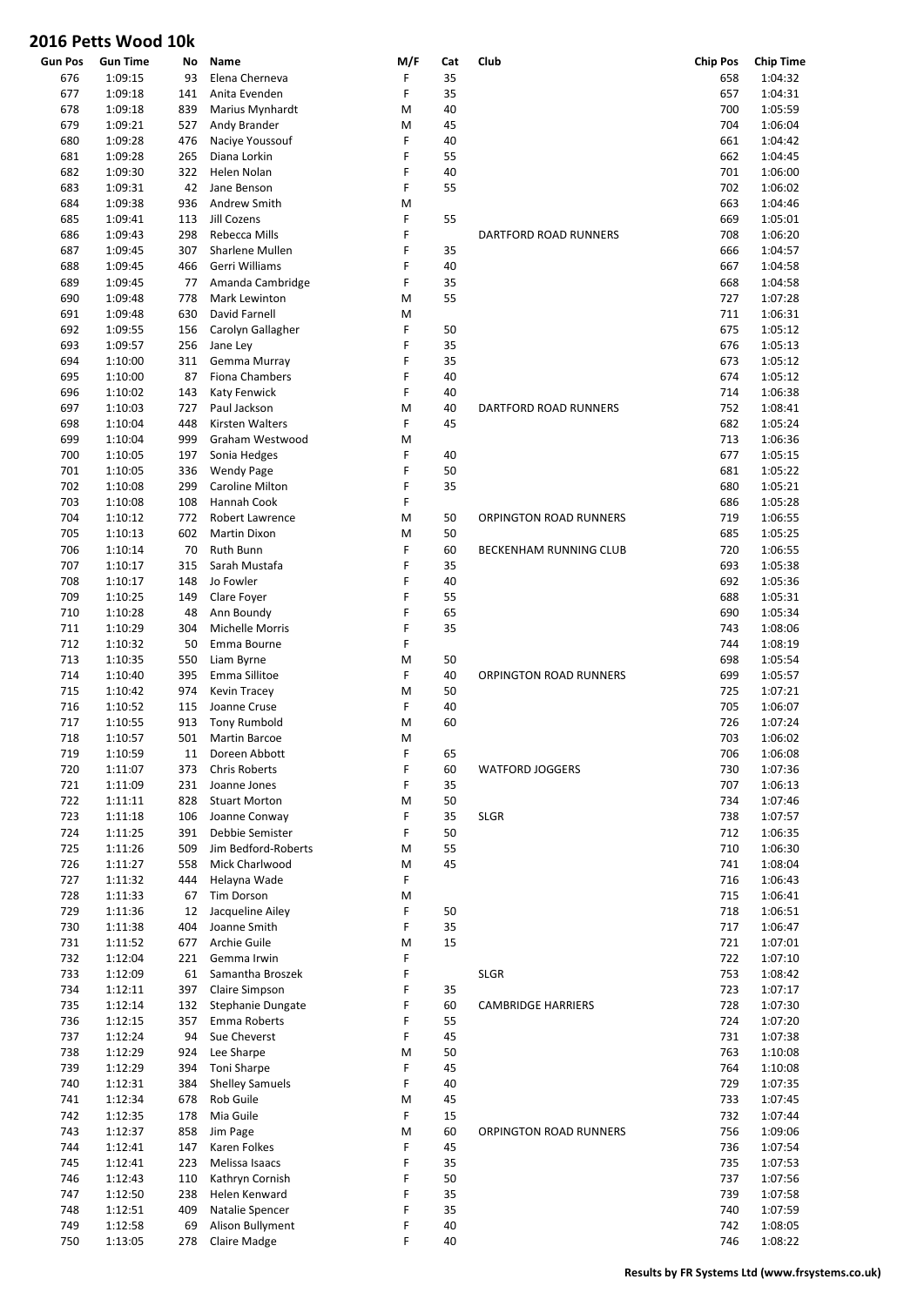| <b>Gun Pos</b> | <b>Gun Time</b> | No  | Name                   | M/F | Cat | Club                      | <b>Chip Pos</b> | <b>Chip Time</b> |
|----------------|-----------------|-----|------------------------|-----|-----|---------------------------|-----------------|------------------|
| 676            | 1:09:15         | 93  | Elena Cherneva         | F   | 35  |                           | 658             | 1:04:32          |
| 677            | 1:09:18         | 141 | Anita Evenden          | F   | 35  |                           | 657             | 1:04:31          |
| 678            | 1:09:18         | 839 | Marius Mynhardt        | M   | 40  |                           | 700             | 1:05:59          |
| 679            | 1:09:21         | 527 | Andy Brander           | M   | 45  |                           | 704             | 1:06:04          |
| 680            | 1:09:28         | 476 | Nacive Youssouf        | F   | 40  |                           | 661             | 1:04:42          |
|                |                 |     |                        |     |     |                           |                 |                  |
| 681            | 1:09:28         | 265 | Diana Lorkin           | F   | 55  |                           | 662             | 1:04:45          |
| 682            | 1:09:30         | 322 | Helen Nolan            | F   | 40  |                           | 701             | 1:06:00          |
| 683            | 1:09:31         | 42  | Jane Benson            | F   | 55  |                           | 702             | 1:06:02          |
| 684            | 1:09:38         | 936 | Andrew Smith           | M   |     |                           | 663             | 1:04:46          |
| 685            | 1:09:41         | 113 | Jill Cozens            | F   | 55  |                           | 669             | 1:05:01          |
| 686            | 1:09:43         | 298 | Rebecca Mills          | F   |     | DARTFORD ROAD RUNNERS     | 708             | 1:06:20          |
| 687            | 1:09:45         | 307 | Sharlene Mullen        | F   | 35  |                           | 666             | 1:04:57          |
|                |                 |     | Gerri Williams         |     |     |                           |                 |                  |
| 688            | 1:09:45         | 466 |                        | F   | 40  |                           | 667             | 1:04:58          |
| 689            | 1:09:45         | 77  | Amanda Cambridge       | F   | 35  |                           | 668             | 1:04:58          |
| 690            | 1:09:48         | 778 | Mark Lewinton          | M   | 55  |                           | 727             | 1:07:28          |
| 691            | 1:09:48         | 630 | David Farnell          | M   |     |                           | 711             | 1:06:31          |
| 692            | 1:09:55         | 156 | Carolyn Gallagher      | F   | 50  |                           | 675             | 1:05:12          |
| 693            | 1:09:57         | 256 | Jane Ley               | F   | 35  |                           | 676             | 1:05:13          |
| 694            | 1:10:00         | 311 | Gemma Murray           | F   | 35  |                           | 673             | 1:05:12          |
| 695            | 1:10:00         | 87  | <b>Fiona Chambers</b>  | F   | 40  |                           | 674             | 1:05:12          |
|                |                 |     |                        | F   |     |                           |                 |                  |
| 696            | 1:10:02         | 143 | <b>Katy Fenwick</b>    |     | 40  |                           | 714             | 1:06:38          |
| 697            | 1:10:03         | 727 | Paul Jackson           | M   | 40  | DARTFORD ROAD RUNNERS     | 752             | 1:08:41          |
| 698            | 1:10:04         | 448 | <b>Kirsten Walters</b> | F   | 45  |                           | 682             | 1:05:24          |
| 699            | 1:10:04         | 999 | Graham Westwood        | M   |     |                           | 713             | 1:06:36          |
| 700            | 1:10:05         | 197 | Sonia Hedges           | F   | 40  |                           | 677             | 1:05:15          |
| 701            | 1:10:05         | 336 | <b>Wendy Page</b>      | F   | 50  |                           | 681             | 1:05:22          |
| 702            | 1:10:08         | 299 | <b>Caroline Milton</b> | F   | 35  |                           | 680             | 1:05:21          |
| 703            | 1:10:08         | 108 | Hannah Cook            | F   |     |                           | 686             | 1:05:28          |
|                |                 |     |                        |     |     |                           |                 |                  |
| 704            | 1:10:12         | 772 | Robert Lawrence        | M   | 50  | ORPINGTON ROAD RUNNERS    | 719             | 1:06:55          |
| 705            | 1:10:13         | 602 | Martin Dixon           | M   | 50  |                           | 685             | 1:05:25          |
| 706            | 1:10:14         | 70  | Ruth Bunn              | F   | 60  | BECKENHAM RUNNING CLUB    | 720             | 1:06:55          |
| 707            | 1:10:17         | 315 | Sarah Mustafa          | F   | 35  |                           | 693             | 1:05:38          |
| 708            | 1:10:17         | 148 | Jo Fowler              | F   | 40  |                           | 692             | 1:05:36          |
| 709            | 1:10:25         | 149 | Clare Foyer            | F   | 55  |                           | 688             | 1:05:31          |
| 710            | 1:10:28         | 48  | Ann Boundy             | F   | 65  |                           | 690             | 1:05:34          |
| 711            | 1:10:29         | 304 | Michelle Morris        | F   | 35  |                           | 743             | 1:08:06          |
|                |                 |     |                        | F   |     |                           |                 |                  |
| 712            | 1:10:32         | 50  | Emma Bourne            |     |     |                           | 744             | 1:08:19          |
| 713            | 1:10:35         | 550 | Liam Byrne             | M   | 50  |                           | 698             | 1:05:54          |
| 714            | 1:10:40         | 395 | Emma Sillitoe          | F   | 40  | ORPINGTON ROAD RUNNERS    | 699             | 1:05:57          |
| 715            | 1:10:42         | 974 | Kevin Tracey           | M   | 50  |                           | 725             | 1:07:21          |
| 716            | 1:10:52         | 115 | Joanne Cruse           | F   | 40  |                           | 705             | 1:06:07          |
| 717            | 1:10:55         | 913 | <b>Tony Rumbold</b>    | M   | 60  |                           | 726             | 1:07:24          |
| 718            | 1:10:57         | 501 | Martin Barcoe          | M   |     |                           | 703             | 1:06:02          |
| 719            | 1:10:59         | 11  | Doreen Abbott          | F   | 65  |                           | 706             | 1:06:08          |
|                |                 |     |                        |     |     |                           |                 |                  |
| 720            | 1:11:07         | 373 | <b>Chris Roberts</b>   | F   | 60  | <b>WATFORD JOGGERS</b>    | 730             | 1:07:36          |
| 721            | 1:11:09         | 231 | Joanne Jones           | F   | 35  |                           | 707             | 1:06:13          |
| 722            | 1:11:11         | 828 | <b>Stuart Morton</b>   | M   | 50  |                           | 734             | 1:07:46          |
| 723            | 1:11:18         | 106 | Joanne Conway          | F   | 35  | <b>SLGR</b>               | 738             | 1:07:57          |
| 724            | 1:11:25         | 391 | Debbie Semister        | F   | 50  |                           | 712             | 1:06:35          |
| 725            | 1:11:26         | 509 | Jim Bedford-Roberts    | M   | 55  |                           | 710             | 1:06:30          |
| 726            | 1:11:27         | 558 | Mick Charlwood         | M   | 45  |                           | 741             | 1:08:04          |
| 727            | 1:11:32         | 444 | Helayna Wade           | F   |     |                           | 716             | 1:06:43          |
|                |                 |     | <b>Tim Dorson</b>      |     |     |                           |                 |                  |
| 728            | 1:11:33         | 67  |                        | M   |     |                           | 715             | 1:06:41          |
| 729            | 1:11:36         | 12  | Jacqueline Ailey       | F   | 50  |                           | 718             | 1:06:51          |
| 730            | 1:11:38         | 404 | Joanne Smith           | F   | 35  |                           | 717             | 1:06:47          |
| 731            | 1:11:52         | 677 | Archie Guile           | M   | 15  |                           | 721             | 1:07:01          |
| 732            | 1:12:04         | 221 | Gemma Irwin            | F   |     |                           | 722             | 1:07:10          |
| 733            | 1:12:09         | 61  | Samantha Broszek       | F   |     | <b>SLGR</b>               | 753             | 1:08:42          |
| 734            | 1:12:11         | 397 | Claire Simpson         | F   | 35  |                           | 723             | 1:07:17          |
| 735            | 1:12:14         | 132 | Stephanie Dungate      | F   | 60  | <b>CAMBRIDGE HARRIERS</b> | 728             | 1:07:30          |
|                |                 |     |                        |     |     |                           |                 |                  |
| 736            | 1:12:15         | 357 | Emma Roberts           | F   | 55  |                           | 724             | 1:07:20          |
| 737            | 1:12:24         | 94  | Sue Cheverst           | F   | 45  |                           | 731             | 1:07:38          |
| 738            | 1:12:29         | 924 | Lee Sharpe             | M   | 50  |                           | 763             | 1:10:08          |
| 739            | 1:12:29         | 394 | <b>Toni Sharpe</b>     | F   | 45  |                           | 764             | 1:10:08          |
| 740            | 1:12:31         | 384 | <b>Shelley Samuels</b> | F   | 40  |                           | 729             | 1:07:35          |
| 741            | 1:12:34         | 678 | Rob Guile              | M   | 45  |                           | 733             | 1:07:45          |
| 742            | 1:12:35         | 178 | Mia Guile              | F   | 15  |                           | 732             | 1:07:44          |
|                |                 |     |                        |     |     |                           |                 |                  |
| 743            | 1:12:37         | 858 | Jim Page               | M   | 60  | ORPINGTON ROAD RUNNERS    | 756             | 1:09:06          |
| 744            | 1:12:41         | 147 | Karen Folkes           | F   | 45  |                           | 736             | 1:07:54          |
| 745            | 1:12:41         | 223 | Melissa Isaacs         | F   | 35  |                           | 735             | 1:07:53          |
| 746            | 1:12:43         | 110 | Kathryn Cornish        | F   | 50  |                           | 737             | 1:07:56          |
| 747            | 1:12:50         | 238 | Helen Kenward          | F   | 35  |                           | 739             | 1:07:58          |
| 748            | 1:12:51         | 409 | Natalie Spencer        | F   | 35  |                           | 740             | 1:07:59          |
| 749            | 1:12:58         | 69  | Alison Bullyment       | F   | 40  |                           | 742             | 1:08:05          |
| 750            | 1:13:05         | 278 | Claire Madge           | F   | 40  |                           | 746             | 1:08:22          |
|                |                 |     |                        |     |     |                           |                 |                  |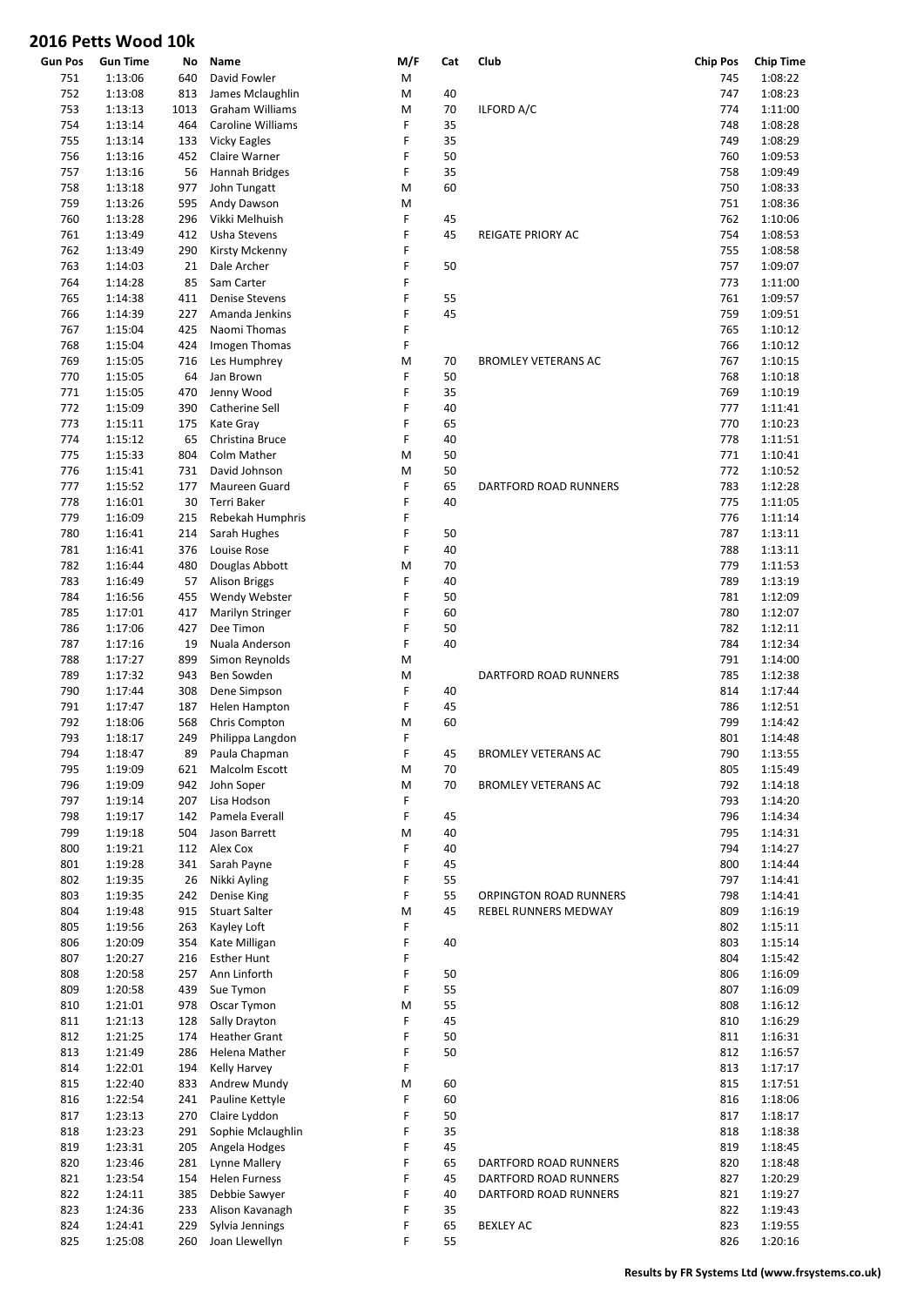|                | UIU I CLLJ VVUUU IUN |      |                          |     |     |                              |                 |                  |
|----------------|----------------------|------|--------------------------|-----|-----|------------------------------|-----------------|------------------|
| <b>Gun Pos</b> | <b>Gun Time</b>      | No   | Name                     | M/F | Cat | Club                         | <b>Chip Pos</b> | <b>Chip Time</b> |
| 751            | 1:13:06              | 640  | David Fowler             | М   |     |                              | 745             | 1:08:22          |
| 752            | 1:13:08              | 813  | James Mclaughlin         | M   | 40  |                              | 747             | 1:08:23          |
| 753            | 1:13:13              | 1013 | <b>Graham Williams</b>   | M   | 70  | ILFORD A/C                   | 774             | 1:11:00          |
| 754            | 1:13:14              | 464  | <b>Caroline Williams</b> | F   | 35  |                              | 748             | 1:08:28          |
| 755            | 1:13:14              | 133  | <b>Vicky Eagles</b>      | F   | 35  |                              | 749             | 1:08:29          |
|                |                      |      |                          | F   | 50  |                              |                 |                  |
| 756            | 1:13:16              | 452  | Claire Warner            |     |     |                              | 760             | 1:09:53          |
| 757            | 1:13:16              | 56   | Hannah Bridges           | F   | 35  |                              | 758             | 1:09:49          |
| 758            | 1:13:18              | 977  | John Tungatt             | M   | 60  |                              | 750             | 1:08:33          |
| 759            | 1:13:26              | 595  | Andy Dawson              | M   |     |                              | 751             | 1:08:36          |
| 760            | 1:13:28              | 296  | Vikki Melhuish           | F   | 45  |                              | 762             | 1:10:06          |
| 761            | 1:13:49              | 412  | Usha Stevens             | F   | 45  | REIGATE PRIORY AC            | 754             | 1:08:53          |
| 762            | 1:13:49              | 290  | Kirsty Mckenny           | F   |     |                              | 755             | 1:08:58          |
| 763            | 1:14:03              | 21   | Dale Archer              | F   | 50  |                              | 757             | 1:09:07          |
| 764            | 1:14:28              | 85   | Sam Carter               | F   |     |                              | 773             | 1:11:00          |
|                |                      |      |                          |     |     |                              |                 |                  |
| 765            | 1:14:38              | 411  | <b>Denise Stevens</b>    | F   | 55  |                              | 761             | 1:09:57          |
| 766            | 1:14:39              | 227  | Amanda Jenkins           | F   | 45  |                              | 759             | 1:09:51          |
| 767            | 1:15:04              | 425  | Naomi Thomas             | F   |     |                              | 765             | 1:10:12          |
| 768            | 1:15:04              | 424  | Imogen Thomas            | F   |     |                              | 766             | 1:10:12          |
| 769            | 1:15:05              | 716  | Les Humphrey             | M   | 70  | <b>BROMLEY VETERANS AC</b>   | 767             | 1:10:15          |
| 770            | 1:15:05              | 64   | Jan Brown                | F   | 50  |                              | 768             | 1:10:18          |
| 771            | 1:15:05              | 470  | Jenny Wood               | F   | 35  |                              | 769             | 1:10:19          |
| 772            | 1:15:09              | 390  | Catherine Sell           | F   | 40  |                              | 777             | 1:11:41          |
| 773            |                      |      |                          | F   |     |                              | 770             | 1:10:23          |
|                | 1:15:11              | 175  | Kate Gray                |     | 65  |                              |                 |                  |
| 774            | 1:15:12              | 65   | Christina Bruce          | F   | 40  |                              | 778             | 1:11:51          |
| 775            | 1:15:33              | 804  | Colm Mather              | M   | 50  |                              | 771             | 1:10:41          |
| 776            | 1:15:41              | 731  | David Johnson            | M   | 50  |                              | 772             | 1:10:52          |
| 777            | 1:15:52              | 177  | Maureen Guard            | F   | 65  | <b>DARTFORD ROAD RUNNERS</b> | 783             | 1:12:28          |
| 778            | 1:16:01              | 30   | Terri Baker              | F   | 40  |                              | 775             | 1:11:05          |
| 779            | 1:16:09              | 215  | Rebekah Humphris         | F   |     |                              | 776             | 1:11:14          |
| 780            | 1:16:41              | 214  | Sarah Hughes             | F   | 50  |                              | 787             | 1:13:11          |
| 781            | 1:16:41              | 376  | Louise Rose              | F   | 40  |                              | 788             | 1:13:11          |
|                |                      | 480  |                          | M   |     |                              | 779             |                  |
| 782            | 1:16:44              |      | Douglas Abbott           |     | 70  |                              |                 | 1:11:53          |
| 783            | 1:16:49              | 57   | <b>Alison Briggs</b>     | F   | 40  |                              | 789             | 1:13:19          |
| 784            | 1:16:56              | 455  | Wendy Webster            | F   | 50  |                              | 781             | 1:12:09          |
| 785            | 1:17:01              | 417  | Marilyn Stringer         | F   | 60  |                              | 780             | 1:12:07          |
| 786            | 1:17:06              | 427  | Dee Timon                | F   | 50  |                              | 782             | 1:12:11          |
| 787            | 1:17:16              | 19   | Nuala Anderson           | F   | 40  |                              | 784             | 1:12:34          |
| 788            | 1:17:27              | 899  | Simon Reynolds           | M   |     |                              | 791             | 1:14:00          |
| 789            | 1:17:32              | 943  | Ben Sowden               | M   |     | DARTFORD ROAD RUNNERS        | 785             | 1:12:38          |
| 790            | 1:17:44              | 308  | Dene Simpson             | F   | 40  |                              | 814             | 1:17:44          |
|                |                      |      |                          |     |     |                              |                 |                  |
| 791            | 1:17:47              | 187  | Helen Hampton            | F   | 45  |                              | 786             | 1:12:51          |
| 792            | 1:18:06              | 568  | Chris Compton            | M   | 60  |                              | 799             | 1:14:42          |
| 793            | 1:18:17              | 249  | Philippa Langdon         | F   |     |                              | 801             | 1:14:48          |
| 794            | 1:18:47              | 89   | Paula Chapman            | F   | 45  | <b>BROMLEY VETERANS AC</b>   | 790             | 1:13:55          |
| 795            | 1:19:09              | 621  | Malcolm Escott           | M   | 70  |                              | 805             | 1:15:49          |
| 796            | 1:19:09              | 942  | John Soper               | M   | 70  | <b>BROMLEY VETERANS AC</b>   | 792             | 1:14:18          |
| 797            | 1:19:14              | 207  | Lisa Hodson              | F   |     |                              | 793             | 1:14:20          |
| 798            | 1:19:17              | 142  | Pamela Everall           | F   | 45  |                              | 796             | 1:14:34          |
| 799            | 1:19:18              | 504  | Jason Barrett            | M   | 40  |                              | 795             | 1:14:31          |
|                |                      |      |                          |     |     |                              |                 |                  |
| 800            | 1:19:21              | 112  | Alex Cox                 | F   | 40  |                              | 794             | 1:14:27          |
| 801            | 1:19:28              | 341  | Sarah Payne              | F   | 45  |                              | 800             | 1:14:44          |
| 802            | 1:19:35              | 26   | Nikki Ayling             | F   | 55  |                              | 797             | 1:14:41          |
| 803            | 1:19:35              | 242  | Denise King              | F   | 55  | ORPINGTON ROAD RUNNERS       | 798             | 1:14:41          |
| 804            | 1:19:48              | 915  | <b>Stuart Salter</b>     | M   | 45  | REBEL RUNNERS MEDWAY         | 809             | 1:16:19          |
| 805            | 1:19:56              | 263  | Kayley Loft              | F   |     |                              | 802             | 1:15:11          |
| 806            | 1:20:09              | 354  | Kate Milligan            | F   | 40  |                              | 803             | 1:15:14          |
| 807            | 1:20:27              | 216  | <b>Esther Hunt</b>       | F   |     |                              | 804             | 1:15:42          |
| 808            | 1:20:58              | 257  | Ann Linforth             | F   | 50  |                              | 806             | 1:16:09          |
|                |                      |      |                          |     |     |                              |                 |                  |
| 809            | 1:20:58              | 439  | Sue Tymon                | F   | 55  |                              | 807             | 1:16:09          |
| 810            | 1:21:01              | 978  | Oscar Tymon              | M   | 55  |                              | 808             | 1:16:12          |
| 811            | 1:21:13              | 128  | Sally Drayton            | F   | 45  |                              | 810             | 1:16:29          |
| 812            | 1:21:25              | 174  | <b>Heather Grant</b>     | F   | 50  |                              | 811             | 1:16:31          |
| 813            | 1:21:49              | 286  | Helena Mather            | F   | 50  |                              | 812             | 1:16:57          |
| 814            | 1:22:01              | 194  | Kelly Harvey             | F   |     |                              | 813             | 1:17:17          |
| 815            | 1:22:40              | 833  | Andrew Mundy             | M   | 60  |                              | 815             | 1:17:51          |
| 816            | 1:22:54              | 241  | Pauline Kettyle          | F   | 60  |                              | 816             | 1:18:06          |
|                |                      |      |                          |     |     |                              |                 |                  |
| 817            | 1:23:13              | 270  | Claire Lyddon            | F   | 50  |                              | 817             | 1:18:17          |
| 818            | 1:23:23              | 291  | Sophie Mclaughlin        | F   | 35  |                              | 818             | 1:18:38          |
| 819            | 1:23:31              | 205  | Angela Hodges            | F   | 45  |                              | 819             | 1:18:45          |
| 820            | 1:23:46              | 281  | Lynne Mallery            | F   | 65  | DARTFORD ROAD RUNNERS        | 820             | 1:18:48          |
| 821            | 1:23:54              | 154  | <b>Helen Furness</b>     | F   | 45  | DARTFORD ROAD RUNNERS        | 827             | 1:20:29          |
| 822            | 1:24:11              | 385  | Debbie Sawyer            | F   | 40  | DARTFORD ROAD RUNNERS        | 821             | 1:19:27          |
| 823            | 1:24:36              | 233  | Alison Kavanagh          | F   | 35  |                              | 822             | 1:19:43          |
| 824            | 1:24:41              | 229  | Sylvia Jennings          | F   | 65  | <b>BEXLEY AC</b>             | 823             | 1:19:55          |
| 825            | 1:25:08              | 260  | Joan Llewellyn           | F   | 55  |                              | 826             | 1:20:16          |
|                |                      |      |                          |     |     |                              |                 |                  |